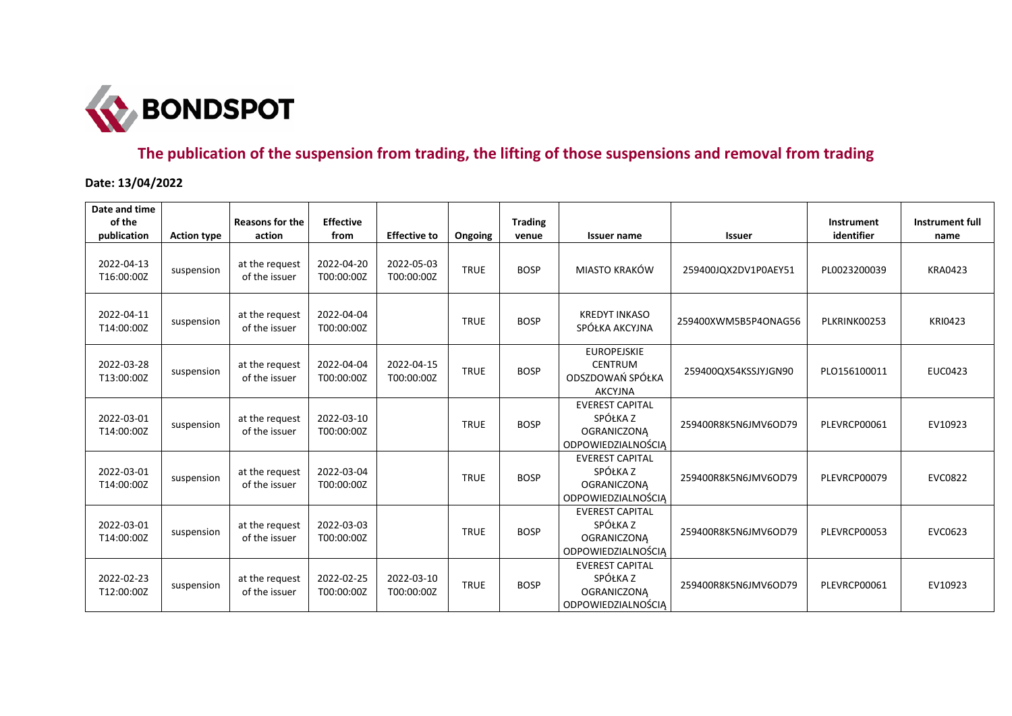

## **The publication of the suspension from trading, the lifting of those suspensions and removal from trading**

**Date: 13/04/2022**

| Date and time<br>of the<br>publication | <b>Action type</b> | <b>Reasons for the</b><br>action | <b>Effective</b><br>from | <b>Effective to</b>      | Ongoing     | <b>Trading</b><br>venue | <b>Issuer name</b>                                                             | <b>Issuer</b>        | Instrument<br>identifier | Instrument full<br>name |
|----------------------------------------|--------------------|----------------------------------|--------------------------|--------------------------|-------------|-------------------------|--------------------------------------------------------------------------------|----------------------|--------------------------|-------------------------|
| 2022-04-13<br>T16:00:00Z               | suspension         | at the request<br>of the issuer  | 2022-04-20<br>T00:00:00Z | 2022-05-03<br>T00:00:00Z | <b>TRUE</b> | <b>BOSP</b>             | MIASTO KRAKÓW                                                                  | 259400JQX2DV1P0AEY51 | PL0023200039             | <b>KRA0423</b>          |
| 2022-04-11<br>T14:00:00Z               | suspension         | at the request<br>of the issuer  | 2022-04-04<br>T00:00:00Z |                          | <b>TRUE</b> | <b>BOSP</b>             | <b>KREDYT INKASO</b><br>SPÓŁKA AKCYJNA                                         | 259400XWM5B5P4ONAG56 | PLKRINK00253             | <b>KRI0423</b>          |
| 2022-03-28<br>T13:00:00Z               | suspension         | at the request<br>of the issuer  | 2022-04-04<br>T00:00:00Z | 2022-04-15<br>T00:00:00Z | <b>TRUE</b> | <b>BOSP</b>             | <b>EUROPEJSKIE</b><br><b>CENTRUM</b><br>ODSZDOWAŃ SPÓŁKA<br><b>AKCYJNA</b>     | 259400QX54KSSJYJGN90 | PLO156100011             | <b>EUC0423</b>          |
| 2022-03-01<br>T14:00:00Z               | suspension         | at the request<br>of the issuer  | 2022-03-10<br>T00:00:00Z |                          | <b>TRUE</b> | <b>BOSP</b>             | <b>EVEREST CAPITAL</b><br>SPÓŁKA Z<br><b>OGRANICZONA</b><br>ODPOWIEDZIALNOŚCIĄ | 259400R8K5N6JMV6OD79 | PLEVRCP00061             | EV10923                 |
| 2022-03-01<br>T14:00:00Z               | suspension         | at the request<br>of the issuer  | 2022-03-04<br>T00:00:00Z |                          | <b>TRUE</b> | <b>BOSP</b>             | <b>EVEREST CAPITAL</b><br>SPÓŁKA Z<br><b>OGRANICZONA</b><br>ODPOWIEDZIALNOŚCIA | 259400R8K5N6JMV6OD79 | PLEVRCP00079             | <b>EVC0822</b>          |
| 2022-03-01<br>T14:00:00Z               | suspension         | at the request<br>of the issuer  | 2022-03-03<br>T00:00:00Z |                          | <b>TRUE</b> | <b>BOSP</b>             | <b>EVEREST CAPITAL</b><br>SPÓŁKA Z<br><b>OGRANICZONA</b><br>ODPOWIEDZIALNOŚCIĄ | 259400R8K5N6JMV6OD79 | PLEVRCP00053             | EVC0623                 |
| 2022-02-23<br>T12:00:00Z               | suspension         | at the request<br>of the issuer  | 2022-02-25<br>T00:00:00Z | 2022-03-10<br>T00:00:00Z | <b>TRUE</b> | <b>BOSP</b>             | <b>EVEREST CAPITAL</b><br>SPÓŁKA Z<br><b>OGRANICZONA</b><br>ODPOWIEDZIALNOŚCIĄ | 259400R8K5N6JMV6OD79 | PLEVRCP00061             | EV10923                 |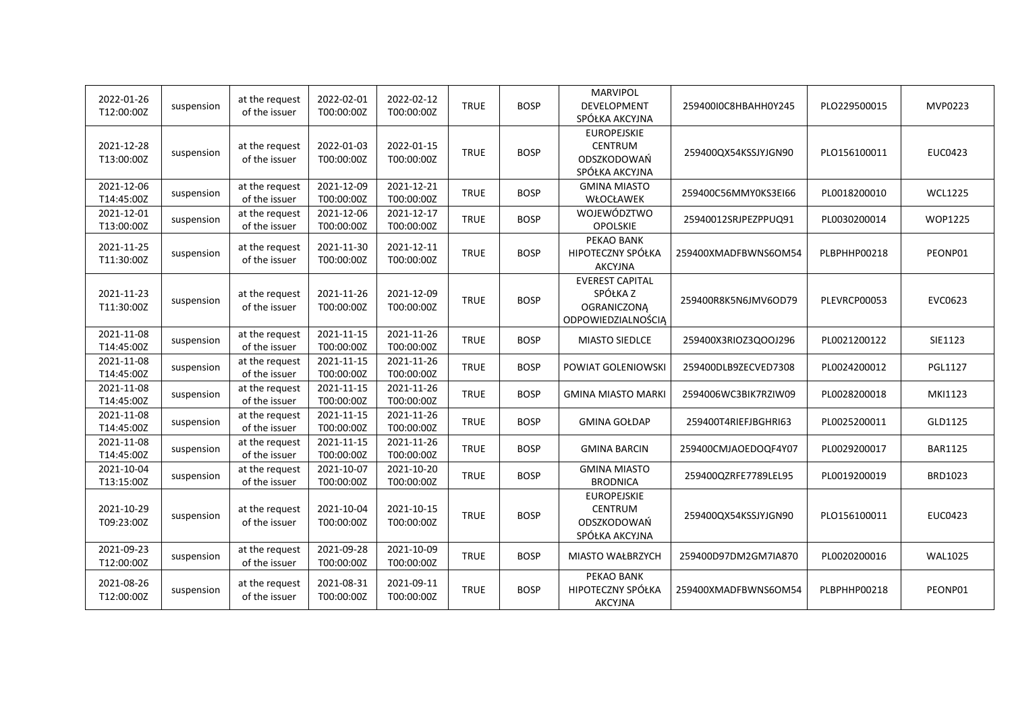| 2022-01-26<br>T12:00:00Z | suspension | at the request<br>of the issuer | 2022-02-01<br>T00:00:00Z | 2022-02-12<br>T00:00:00Z | <b>TRUE</b> | <b>BOSP</b> | <b>MARVIPOL</b><br>DEVELOPMENT<br>SPÓŁKA AKCYJNA                               | 259400I0C8HBAHH0Y245 | PLO229500015 | MVP0223        |
|--------------------------|------------|---------------------------------|--------------------------|--------------------------|-------------|-------------|--------------------------------------------------------------------------------|----------------------|--------------|----------------|
| 2021-12-28<br>T13:00:00Z | suspension | at the request<br>of the issuer | 2022-01-03<br>T00:00:00Z | 2022-01-15<br>T00:00:00Z | <b>TRUE</b> | <b>BOSP</b> | <b>EUROPEJSKIE</b><br><b>CENTRUM</b><br>ODSZKODOWAŃ<br>SPÓŁKA AKCYJNA          | 259400QX54KSSJYJGN90 | PLO156100011 | <b>EUC0423</b> |
| 2021-12-06<br>T14:45:00Z | suspension | at the request<br>of the issuer | 2021-12-09<br>T00:00:00Z | 2021-12-21<br>T00:00:00Z | <b>TRUE</b> | <b>BOSP</b> | <b>GMINA MIASTO</b><br>WŁOCŁAWEK                                               | 259400C56MMY0KS3EI66 | PL0018200010 | <b>WCL1225</b> |
| 2021-12-01<br>T13:00:00Z | suspension | at the request<br>of the issuer | 2021-12-06<br>T00:00:00Z | 2021-12-17<br>T00:00:00Z | <b>TRUE</b> | <b>BOSP</b> | WOJEWÓDZTWO<br>OPOLSKIE                                                        | 25940012SRJPEZPPUQ91 | PL0030200014 | WOP1225        |
| 2021-11-25<br>T11:30:00Z | suspension | at the request<br>of the issuer | 2021-11-30<br>T00:00:00Z | 2021-12-11<br>T00:00:00Z | <b>TRUE</b> | <b>BOSP</b> | PEKAO BANK<br>HIPOTECZNY SPÓŁKA<br><b>AKCYJNA</b>                              | 259400XMADFBWNS6OM54 | PLBPHHP00218 | PEONP01        |
| 2021-11-23<br>T11:30:00Z | suspension | at the request<br>of the issuer | 2021-11-26<br>T00:00:00Z | 2021-12-09<br>T00:00:00Z | <b>TRUE</b> | <b>BOSP</b> | <b>EVEREST CAPITAL</b><br>SPÓŁKA Z<br><b>OGRANICZONĄ</b><br>ODPOWIEDZIALNOŚCIĄ | 259400R8K5N6JMV6OD79 | PLEVRCP00053 | EVC0623        |
| 2021-11-08<br>T14:45:00Z | suspension | at the request<br>of the issuer | 2021-11-15<br>T00:00:00Z | 2021-11-26<br>T00:00:00Z | <b>TRUE</b> | <b>BOSP</b> | <b>MIASTO SIEDLCE</b>                                                          | 259400X3RIOZ3QOOJ296 | PL0021200122 | SIE1123        |
| 2021-11-08<br>T14:45:00Z | suspension | at the request<br>of the issuer | 2021-11-15<br>T00:00:00Z | 2021-11-26<br>T00:00:00Z | <b>TRUE</b> | <b>BOSP</b> | POWIAT GOLENIOWSKI                                                             | 259400DLB9ZECVED7308 | PL0024200012 | <b>PGL1127</b> |
| 2021-11-08<br>T14:45:00Z | suspension | at the request<br>of the issuer | 2021-11-15<br>T00:00:00Z | 2021-11-26<br>T00:00:00Z | <b>TRUE</b> | <b>BOSP</b> | <b>GMINA MIASTO MARKI</b>                                                      | 2594006WC3BIK7RZIW09 | PL0028200018 | MKI1123        |
| 2021-11-08<br>T14:45:00Z | suspension | at the request<br>of the issuer | 2021-11-15<br>T00:00:00Z | 2021-11-26<br>T00:00:00Z | <b>TRUE</b> | <b>BOSP</b> | <b>GMINA GOŁDAP</b>                                                            | 259400T4RIEFJBGHRI63 | PL0025200011 | GLD1125        |
| 2021-11-08<br>T14:45:00Z | suspension | at the request<br>of the issuer | 2021-11-15<br>T00:00:00Z | 2021-11-26<br>T00:00:00Z | <b>TRUE</b> | <b>BOSP</b> | <b>GMINA BARCIN</b>                                                            | 259400CMJAOEDOQF4Y07 | PL0029200017 | <b>BAR1125</b> |
| 2021-10-04<br>T13:15:00Z | suspension | at the request<br>of the issuer | 2021-10-07<br>T00:00:00Z | 2021-10-20<br>T00:00:00Z | <b>TRUE</b> | <b>BOSP</b> | <b>GMINA MIASTO</b><br><b>BRODNICA</b>                                         | 259400QZRFE7789LEL95 | PL0019200019 | BRD1023        |
| 2021-10-29<br>T09:23:00Z | suspension | at the request<br>of the issuer | 2021-10-04<br>T00:00:00Z | 2021-10-15<br>T00:00:00Z | <b>TRUE</b> | <b>BOSP</b> | <b>EUROPEJSKIE</b><br><b>CENTRUM</b><br>ODSZKODOWAŃ<br>SPÓŁKA AKCYJNA          | 259400QX54KSSJYJGN90 | PLO156100011 | <b>EUC0423</b> |
| 2021-09-23<br>T12:00:00Z | suspension | at the request<br>of the issuer | 2021-09-28<br>T00:00:00Z | 2021-10-09<br>T00:00:00Z | <b>TRUE</b> | <b>BOSP</b> | MIASTO WAŁBRZYCH                                                               | 259400D97DM2GM7IA870 | PL0020200016 | <b>WAL1025</b> |
| 2021-08-26<br>T12:00:00Z | suspension | at the request<br>of the issuer | 2021-08-31<br>T00:00:00Z | 2021-09-11<br>T00:00:00Z | <b>TRUE</b> | <b>BOSP</b> | PEKAO BANK<br>HIPOTECZNY SPÓŁKA<br><b>AKCYJNA</b>                              | 259400XMADFBWNS6OM54 | PLBPHHP00218 | PEONP01        |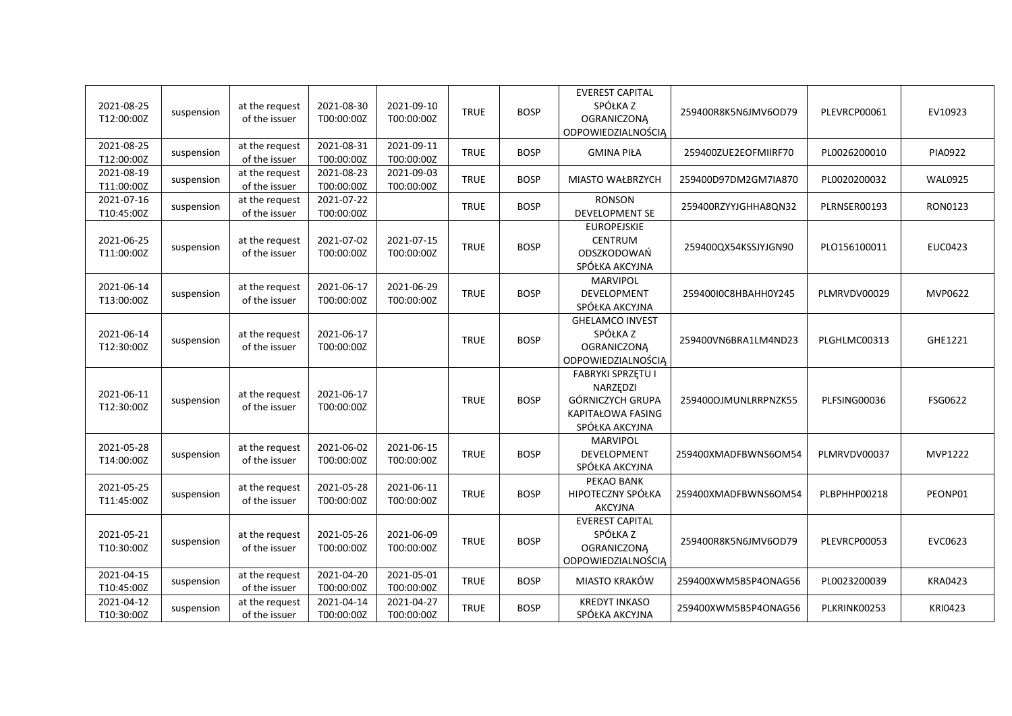| 2021-08-25<br>T12:00:00Z | suspension | at the request<br>of the issuer | 2021-08-30<br>T00:00:00Z | 2021-09-10<br>T00:00:00Z | <b>TRUE</b> | <b>BOSP</b> | <b>EVEREST CAPITAL</b><br>SPÓŁKA Z<br><b>OGRANICZONĄ</b><br>ODPOWIEDZIALNOŚCIĄ                  | 259400R8K5N6JMV6OD79 | PLEVRCP00061 | EV10923        |
|--------------------------|------------|---------------------------------|--------------------------|--------------------------|-------------|-------------|-------------------------------------------------------------------------------------------------|----------------------|--------------|----------------|
| 2021-08-25<br>T12:00:00Z | suspension | at the request<br>of the issuer | 2021-08-31<br>T00:00:00Z | 2021-09-11<br>T00:00:00Z | <b>TRUE</b> | <b>BOSP</b> | <b>GMINA PIŁA</b>                                                                               | 259400ZUE2EOFMIIRF70 | PL0026200010 | <b>PIA0922</b> |
| 2021-08-19<br>T11:00:00Z | suspension | at the request<br>of the issuer | 2021-08-23<br>T00:00:00Z | 2021-09-03<br>T00:00:00Z | <b>TRUE</b> | <b>BOSP</b> | <b>MIASTO WAŁBRZYCH</b>                                                                         | 259400D97DM2GM7IA870 | PL0020200032 | <b>WAL0925</b> |
| 2021-07-16<br>T10:45:00Z | suspension | at the request<br>of the issuer | 2021-07-22<br>T00:00:00Z |                          | <b>TRUE</b> | <b>BOSP</b> | <b>RONSON</b><br>DEVELOPMENT SE                                                                 | 259400RZYYJGHHA8QN32 | PLRNSER00193 | RON0123        |
| 2021-06-25<br>T11:00:00Z | suspension | at the request<br>of the issuer | 2021-07-02<br>T00:00:00Z | 2021-07-15<br>T00:00:00Z | <b>TRUE</b> | <b>BOSP</b> | <b>EUROPEJSKIE</b><br>CENTRUM<br>ODSZKODOWAŃ<br>SPÓŁKA AKCYJNA                                  | 259400QX54KSSJYJGN90 | PLO156100011 | EUC0423        |
| 2021-06-14<br>T13:00:00Z | suspension | at the request<br>of the issuer | 2021-06-17<br>T00:00:00Z | 2021-06-29<br>T00:00:00Z | <b>TRUE</b> | <b>BOSP</b> | <b>MARVIPOL</b><br><b>DEVELOPMENT</b><br>SPÓŁKA AKCYJNA                                         | 259400I0C8HBAHH0Y245 | PLMRVDV00029 | MVP0622        |
| 2021-06-14<br>T12:30:00Z | suspension | at the request<br>of the issuer | 2021-06-17<br>T00:00:00Z |                          | <b>TRUE</b> | <b>BOSP</b> | <b>GHELAMCO INVEST</b><br>SPÓŁKA Z<br><b>OGRANICZONĄ</b><br>ODPOWIEDZIALNOŚCIĄ                  | 259400VN6BRA1LM4ND23 | PLGHLMC00313 | GHE1221        |
| 2021-06-11<br>T12:30:00Z | suspension | at the request<br>of the issuer | 2021-06-17<br>T00:00:00Z |                          | <b>TRUE</b> | <b>BOSP</b> | <b>FABRYKI SPRZĘTU I</b><br>NARZĘDZI<br>GÓRNICZYCH GRUPA<br>KAPITAŁOWA FASING<br>SPÓŁKA AKCYJNA | 259400OJMUNLRRPNZK55 | PLFSING00036 | FSG0622        |
| 2021-05-28<br>T14:00:00Z | suspension | at the request<br>of the issuer | 2021-06-02<br>T00:00:00Z | 2021-06-15<br>T00:00:00Z | <b>TRUE</b> | <b>BOSP</b> | <b>MARVIPOL</b><br><b>DEVELOPMENT</b><br>SPÓŁKA AKCYJNA                                         | 259400XMADFBWNS6OM54 | PLMRVDV00037 | <b>MVP1222</b> |
| 2021-05-25<br>T11:45:00Z | suspension | at the request<br>of the issuer | 2021-05-28<br>T00:00:00Z | 2021-06-11<br>T00:00:00Z | <b>TRUE</b> | <b>BOSP</b> | PEKAO BANK<br>HIPOTECZNY SPÓŁKA<br>AKCYJNA                                                      | 259400XMADFBWNS6OM54 | PLBPHHP00218 | PEONP01        |
| 2021-05-21<br>T10:30:00Z | suspension | at the request<br>of the issuer | 2021-05-26<br>T00:00:00Z | 2021-06-09<br>T00:00:00Z | <b>TRUE</b> | <b>BOSP</b> | <b>EVEREST CAPITAL</b><br>SPÓŁKA Z<br><b>OGRANICZONĄ</b><br>ODPOWIEDZIALNOŚCIĄ                  | 259400R8K5N6JMV6OD79 | PLEVRCP00053 | EVC0623        |
| 2021-04-15<br>T10:45:00Z | suspension | at the request<br>of the issuer | 2021-04-20<br>T00:00:00Z | 2021-05-01<br>T00:00:00Z | <b>TRUE</b> | <b>BOSP</b> | MIASTO KRAKÓW                                                                                   | 259400XWM5B5P4ONAG56 | PL0023200039 | <b>KRA0423</b> |
| 2021-04-12<br>T10:30:00Z | suspension | at the request<br>of the issuer | 2021-04-14<br>T00:00:00Z | 2021-04-27<br>T00:00:00Z | <b>TRUE</b> | <b>BOSP</b> | <b>KREDYT INKASO</b><br>SPÓŁKA AKCYJNA                                                          | 259400XWM5B5P4ONAG56 | PLKRINK00253 | <b>KRI0423</b> |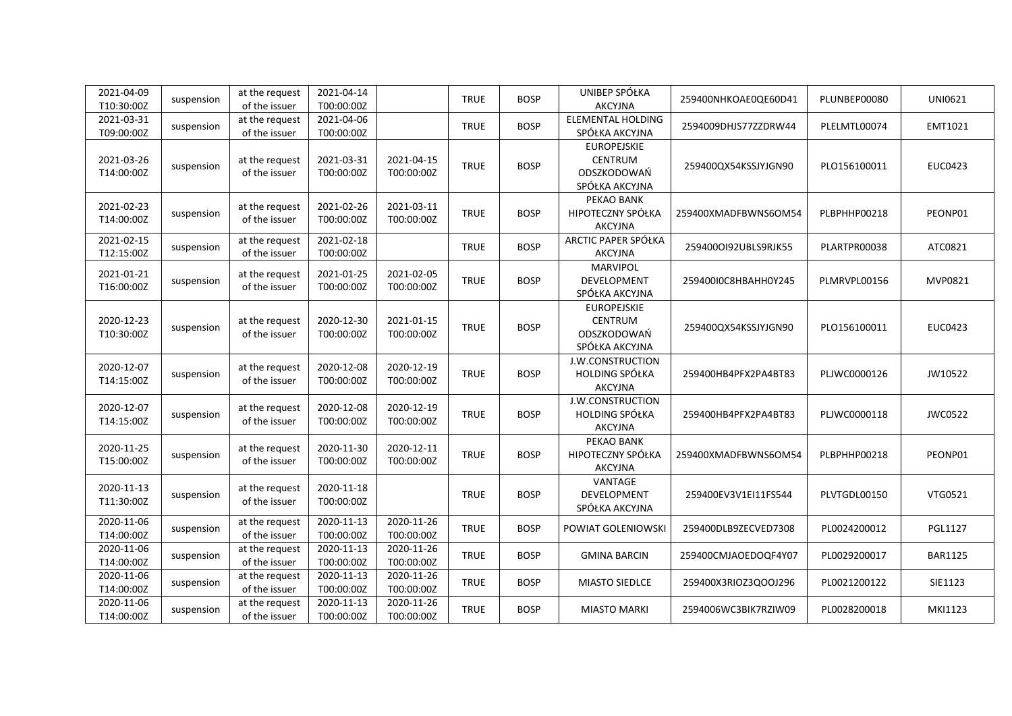| 2021-04-09<br>T10:30:00Z | suspension | at the request<br>of the issuer | 2021-04-14<br>T00:00:00Z |                          | <b>TRUE</b> | <b>BOSP</b> | UNIBEP SPÓŁKA<br><b>AKCYJNA</b>                                | 259400NHKOAE0QE60D41 | PLUNBEP00080 | UNI0621        |
|--------------------------|------------|---------------------------------|--------------------------|--------------------------|-------------|-------------|----------------------------------------------------------------|----------------------|--------------|----------------|
| 2021-03-31<br>T09:00:00Z | suspension | at the request<br>of the issuer | 2021-04-06<br>T00:00:00Z |                          | <b>TRUE</b> | <b>BOSP</b> | <b>ELEMENTAL HOLDING</b><br>SPÓŁKA AKCYJNA                     | 2594009DHJS77ZZDRW44 | PLELMTL00074 | EMT1021        |
| 2021-03-26<br>T14:00:00Z | suspension | at the request<br>of the issuer | 2021-03-31<br>T00:00:00Z | 2021-04-15<br>T00:00:00Z | <b>TRUE</b> | <b>BOSP</b> | <b>EUROPEJSKIE</b><br>CENTRUM<br>ODSZKODOWAŃ<br>SPÓŁKA AKCYJNA | 259400QX54KSSJYJGN90 | PLO156100011 | <b>EUC0423</b> |
| 2021-02-23<br>T14:00:00Z | suspension | at the request<br>of the issuer | 2021-02-26<br>T00:00:00Z | 2021-03-11<br>T00:00:00Z | <b>TRUE</b> | <b>BOSP</b> | PEKAO BANK<br>HIPOTECZNY SPÓŁKA<br><b>AKCYJNA</b>              | 259400XMADFBWNS6OM54 | PLBPHHP00218 | PEONP01        |
| 2021-02-15<br>T12:15:00Z | suspension | at the request<br>of the issuer | 2021-02-18<br>T00:00:00Z |                          | <b>TRUE</b> | <b>BOSP</b> | ARCTIC PAPER SPÓŁKA<br>AKCYJNA                                 | 2594000192UBLS9RJK55 | PLARTPR00038 | ATC0821        |
| 2021-01-21<br>T16:00:00Z | suspension | at the request<br>of the issuer | 2021-01-25<br>T00:00:00Z | 2021-02-05<br>T00:00:00Z | <b>TRUE</b> | <b>BOSP</b> | MARVIPOL<br>DEVELOPMENT<br>SPÓŁKA AKCYJNA                      | 259400I0C8HBAHH0Y245 | PLMRVPL00156 | MVP0821        |
| 2020-12-23<br>T10:30:00Z | suspension | at the request<br>of the issuer | 2020-12-30<br>T00:00:00Z | 2021-01-15<br>T00:00:00Z | <b>TRUE</b> | <b>BOSP</b> | <b>EUROPEJSKIE</b><br>CENTRUM<br>ODSZKODOWAŃ<br>SPÓŁKA AKCYJNA | 259400QX54KSSJYJGN90 | PLO156100011 | <b>EUC0423</b> |
| 2020-12-07<br>T14:15:00Z | suspension | at the request<br>of the issuer | 2020-12-08<br>T00:00:00Z | 2020-12-19<br>T00:00:00Z | <b>TRUE</b> | <b>BOSP</b> | <b>J.W.CONSTRUCTION</b><br>HOLDING SPÓŁKA<br><b>AKCYJNA</b>    | 259400HB4PFX2PA4BT83 | PLJWC0000126 | JW10522        |
| 2020-12-07<br>T14:15:00Z | suspension | at the request<br>of the issuer | 2020-12-08<br>T00:00:00Z | 2020-12-19<br>T00:00:00Z | <b>TRUE</b> | <b>BOSP</b> | J.W.CONSTRUCTION<br>HOLDING SPÓŁKA<br><b>AKCYJNA</b>           | 259400HB4PFX2PA4BT83 | PLJWC0000118 | <b>JWC0522</b> |
| 2020-11-25<br>T15:00:00Z | suspension | at the request<br>of the issuer | 2020-11-30<br>T00:00:00Z | 2020-12-11<br>T00:00:00Z | <b>TRUE</b> | <b>BOSP</b> | PEKAO BANK<br><b>HIPOTECZNY SPÓŁKA</b><br><b>AKCYJNA</b>       | 259400XMADFBWNS6OM54 | PLBPHHP00218 | PEONP01        |
| 2020-11-13<br>T11:30:00Z | suspension | at the request<br>of the issuer | 2020-11-18<br>T00:00:00Z |                          | <b>TRUE</b> | <b>BOSP</b> | VANTAGE<br>DEVELOPMENT<br>SPÓŁKA AKCYJNA                       | 259400EV3V1EI11FS544 | PLVTGDL00150 | VTG0521        |
| 2020-11-06<br>T14:00:00Z | suspension | at the request<br>of the issuer | 2020-11-13<br>T00:00:00Z | 2020-11-26<br>T00:00:00Z | <b>TRUE</b> | <b>BOSP</b> | POWIAT GOLENIOWSKI                                             | 259400DLB9ZECVED7308 | PL0024200012 | <b>PGL1127</b> |
| 2020-11-06<br>T14:00:00Z | suspension | at the request<br>of the issuer | 2020-11-13<br>T00:00:00Z | 2020-11-26<br>T00:00:00Z | <b>TRUE</b> | <b>BOSP</b> | <b>GMINA BARCIN</b>                                            | 259400CMJAOEDOQF4Y07 | PL0029200017 | <b>BAR1125</b> |
| 2020-11-06<br>T14:00:00Z | suspension | at the request<br>of the issuer | 2020-11-13<br>T00:00:00Z | 2020-11-26<br>T00:00:00Z | <b>TRUE</b> | <b>BOSP</b> | MIASTO SIEDLCE                                                 | 259400X3RIOZ3QOOJ296 | PL0021200122 | SIE1123        |
| 2020-11-06<br>T14:00:00Z | suspension | at the request<br>of the issuer | 2020-11-13<br>T00:00:00Z | 2020-11-26<br>T00:00:00Z | <b>TRUE</b> | <b>BOSP</b> | <b>MIASTO MARKI</b>                                            | 2594006WC3BIK7RZIW09 | PL0028200018 | MKI1123        |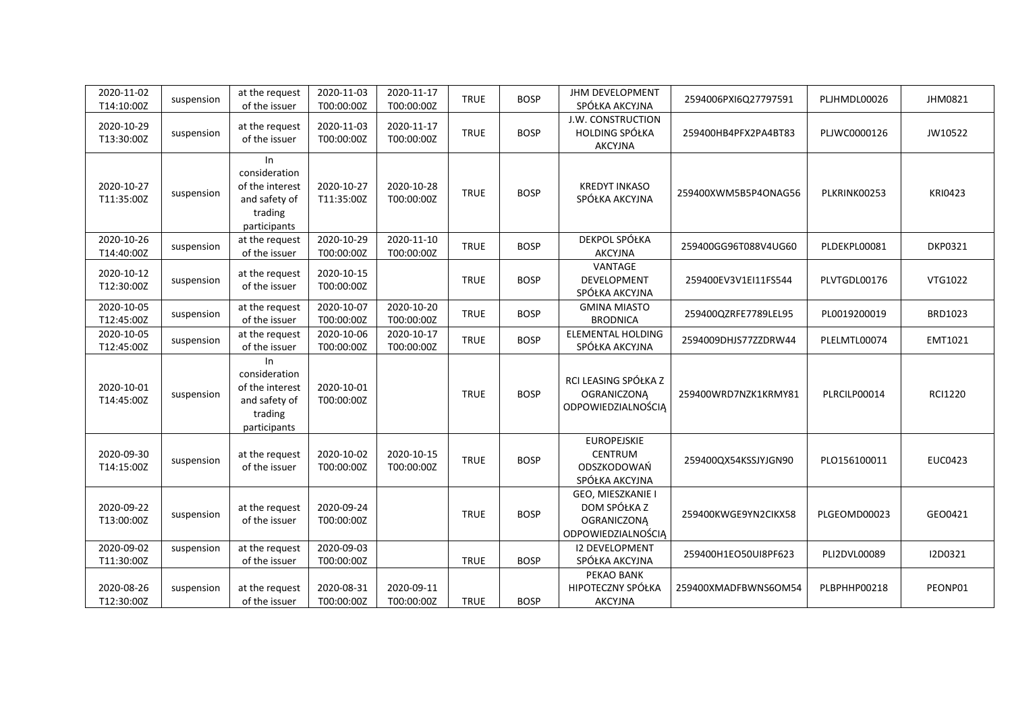| 2020-11-02<br>T14:10:00Z | suspension | at the request<br>of the issuer                                                    | 2020-11-03<br>T00:00:00Z | 2020-11-17<br>T00:00:00Z | <b>TRUE</b> | <b>BOSP</b> | JHM DEVELOPMENT<br>SPÓŁKA AKCYJNA                                             | 2594006PXI6Q27797591 | PLJHMDL00026 | JHM0821        |
|--------------------------|------------|------------------------------------------------------------------------------------|--------------------------|--------------------------|-------------|-------------|-------------------------------------------------------------------------------|----------------------|--------------|----------------|
| 2020-10-29<br>T13:30:00Z | suspension | at the request<br>of the issuer                                                    | 2020-11-03<br>T00:00:00Z | 2020-11-17<br>T00:00:00Z | <b>TRUE</b> | <b>BOSP</b> | J.W. CONSTRUCTION<br><b>HOLDING SPÓŁKA</b><br><b>AKCYJNA</b>                  | 259400HB4PFX2PA4BT83 | PLJWC0000126 | JW10522        |
| 2020-10-27<br>T11:35:00Z | suspension | In<br>consideration<br>of the interest<br>and safety of<br>trading<br>participants | 2020-10-27<br>T11:35:00Z | 2020-10-28<br>T00:00:00Z | <b>TRUE</b> | <b>BOSP</b> | <b>KREDYT INKASO</b><br>SPÓŁKA AKCYJNA                                        | 259400XWM5B5P4ONAG56 | PLKRINK00253 | <b>KRI0423</b> |
| 2020-10-26<br>T14:40:00Z | suspension | at the request<br>of the issuer                                                    | 2020-10-29<br>T00:00:00Z | 2020-11-10<br>T00:00:00Z | <b>TRUE</b> | <b>BOSP</b> | DEKPOL SPÓŁKA<br>AKCYJNA                                                      | 259400GG96T088V4UG60 | PLDEKPL00081 | <b>DKP0321</b> |
| 2020-10-12<br>T12:30:00Z | suspension | at the request<br>of the issuer                                                    | 2020-10-15<br>T00:00:00Z |                          | <b>TRUE</b> | <b>BOSP</b> | VANTAGE<br>DEVELOPMENT<br>SPÓŁKA AKCYJNA                                      | 259400EV3V1EI11FS544 | PLVTGDL00176 | VTG1022        |
| 2020-10-05<br>T12:45:00Z | suspension | at the request<br>of the issuer                                                    | 2020-10-07<br>T00:00:00Z | 2020-10-20<br>T00:00:00Z | <b>TRUE</b> | <b>BOSP</b> | <b>GMINA MIASTO</b><br><b>BRODNICA</b>                                        | 259400QZRFE7789LEL95 | PL0019200019 | BRD1023        |
| 2020-10-05<br>T12:45:00Z | suspension | at the request<br>of the issuer                                                    | 2020-10-06<br>T00:00:00Z | 2020-10-17<br>T00:00:00Z | <b>TRUE</b> | <b>BOSP</b> | ELEMENTAL HOLDING<br>SPÓŁKA AKCYJNA                                           | 2594009DHJS77ZZDRW44 | PLELMTL00074 | EMT1021        |
| 2020-10-01<br>T14:45:00Z | suspension | In<br>consideration<br>of the interest<br>and safety of<br>trading<br>participants | 2020-10-01<br>T00:00:00Z |                          | <b>TRUE</b> | <b>BOSP</b> | RCI LEASING SPÓŁKA Z<br><b>OGRANICZONĄ</b><br>ODPOWIEDZIALNOŚCIĄ              | 259400WRD7NZK1KRMY81 | PLRCILP00014 | <b>RCI1220</b> |
| 2020-09-30<br>T14:15:00Z | suspension | at the request<br>of the issuer                                                    | 2020-10-02<br>T00:00:00Z | 2020-10-15<br>T00:00:00Z | <b>TRUE</b> | <b>BOSP</b> | <b>EUROPEJSKIE</b><br>CENTRUM<br>ODSZKODOWAŃ<br>SPÓŁKA AKCYJNA                | 259400QX54KSSJYJGN90 | PLO156100011 | <b>EUC0423</b> |
| 2020-09-22<br>T13:00:00Z | suspension | at the request<br>of the issuer                                                    | 2020-09-24<br>T00:00:00Z |                          | <b>TRUE</b> | <b>BOSP</b> | GEO, MIESZKANIE I<br>DOM SPÓŁKA Z<br><b>OGRANICZONĄ</b><br>ODPOWIEDZIALNOŚCIĄ | 259400KWGE9YN2CIKX58 | PLGEOMD00023 | GEO0421        |
| 2020-09-02<br>T11:30:00Z | suspension | at the request<br>of the issuer                                                    | 2020-09-03<br>T00:00:00Z |                          | <b>TRUE</b> | <b>BOSP</b> | <b>I2 DEVELOPMENT</b><br>SPÓŁKA AKCYJNA                                       | 259400H1EO50UI8PF623 | PLI2DVL00089 | I2D0321        |
| 2020-08-26<br>T12:30:00Z | suspension | at the request<br>of the issuer                                                    | 2020-08-31<br>T00:00:00Z | 2020-09-11<br>T00:00:00Z | <b>TRUE</b> | <b>BOSP</b> | PEKAO BANK<br>HIPOTECZNY SPÓŁKA<br>AKCYJNA                                    | 259400XMADFBWNS6OM54 | PLBPHHP00218 | PEONP01        |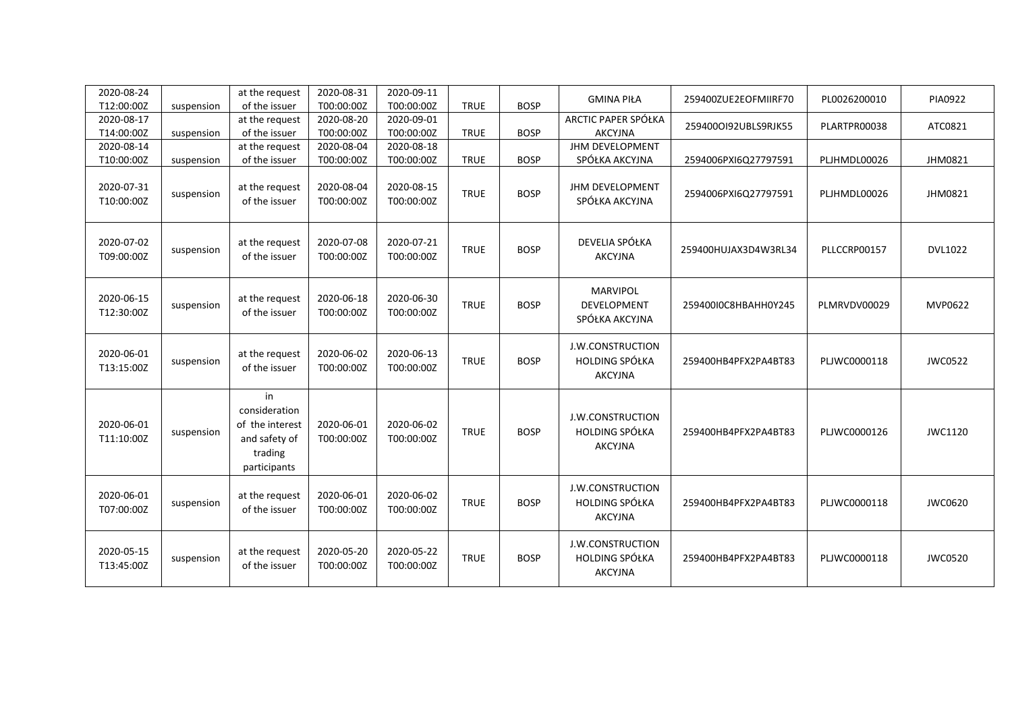| 2020-08-24<br>T12:00:00Z | suspension | at the request<br>of the issuer                                                    | 2020-08-31<br>T00:00:00Z | 2020-09-11<br>T00:00:00Z | <b>TRUE</b> | <b>BOSP</b> | <b>GMINA PIŁA</b>                                           | 259400ZUE2EOFMIIRF70 | PL0026200010 | PIA0922        |
|--------------------------|------------|------------------------------------------------------------------------------------|--------------------------|--------------------------|-------------|-------------|-------------------------------------------------------------|----------------------|--------------|----------------|
| 2020-08-17<br>T14:00:00Z | suspension | at the request<br>of the issuer                                                    | 2020-08-20<br>T00:00:00Z | 2020-09-01<br>T00:00:00Z | <b>TRUE</b> | <b>BOSP</b> | ARCTIC PAPER SPÓŁKA<br><b>AKCYJNA</b>                       | 2594000192UBLS9RJK55 | PLARTPR00038 | ATC0821        |
| 2020-08-14<br>T10:00:00Z | suspension | at the request<br>of the issuer                                                    | 2020-08-04<br>T00:00:00Z | 2020-08-18<br>T00:00:00Z | <b>TRUE</b> | <b>BOSP</b> | JHM DEVELOPMENT<br>SPÓŁKA AKCYJNA                           | 2594006PXI6Q27797591 | PLJHMDL00026 | JHM0821        |
| 2020-07-31<br>T10:00:00Z | suspension | at the request<br>of the issuer                                                    | 2020-08-04<br>T00:00:00Z | 2020-08-15<br>T00:00:00Z | <b>TRUE</b> | <b>BOSP</b> | <b>JHM DEVELOPMENT</b><br>SPÓŁKA AKCYJNA                    | 2594006PXI6Q27797591 | PLJHMDL00026 | JHM0821        |
| 2020-07-02<br>T09:00:00Z | suspension | at the request<br>of the issuer                                                    | 2020-07-08<br>T00:00:00Z | 2020-07-21<br>T00:00:00Z | <b>TRUE</b> | <b>BOSP</b> | DEVELIA SPÓŁKA<br><b>AKCYJNA</b>                            | 259400HUJAX3D4W3RL34 | PLLCCRP00157 | <b>DVL1022</b> |
| 2020-06-15<br>T12:30:00Z | suspension | at the request<br>of the issuer                                                    | 2020-06-18<br>T00:00:00Z | 2020-06-30<br>T00:00:00Z | <b>TRUE</b> | <b>BOSP</b> | <b>MARVIPOL</b><br>DEVELOPMENT<br>SPÓŁKA AKCYJNA            | 259400I0C8HBAHH0Y245 | PLMRVDV00029 | MVP0622        |
| 2020-06-01<br>T13:15:00Z | suspension | at the request<br>of the issuer                                                    | 2020-06-02<br>T00:00:00Z | 2020-06-13<br>T00:00:00Z | <b>TRUE</b> | <b>BOSP</b> | J.W.CONSTRUCTION<br><b>HOLDING SPÓŁKA</b><br><b>AKCYJNA</b> | 259400HB4PFX2PA4BT83 | PLJWC0000118 | <b>JWC0522</b> |
| 2020-06-01<br>T11:10:00Z | suspension | in<br>consideration<br>of the interest<br>and safety of<br>trading<br>participants | 2020-06-01<br>T00:00:00Z | 2020-06-02<br>T00:00:00Z | <b>TRUE</b> | <b>BOSP</b> | J.W.CONSTRUCTION<br><b>HOLDING SPÓŁKA</b><br><b>AKCYJNA</b> | 259400HB4PFX2PA4BT83 | PLJWC0000126 | JWC1120        |
| 2020-06-01<br>T07:00:00Z | suspension | at the request<br>of the issuer                                                    | 2020-06-01<br>T00:00:00Z | 2020-06-02<br>T00:00:00Z | <b>TRUE</b> | <b>BOSP</b> | J.W.CONSTRUCTION<br><b>HOLDING SPÓŁKA</b><br><b>AKCYJNA</b> | 259400HB4PFX2PA4BT83 | PLJWC0000118 | JWC0620        |
| 2020-05-15<br>T13:45:00Z | suspension | at the request<br>of the issuer                                                    | 2020-05-20<br>T00:00:00Z | 2020-05-22<br>T00:00:00Z | <b>TRUE</b> | <b>BOSP</b> | J.W.CONSTRUCTION<br>HOLDING SPÓŁKA<br><b>AKCYJNA</b>        | 259400HB4PFX2PA4BT83 | PLJWC0000118 | <b>JWC0520</b> |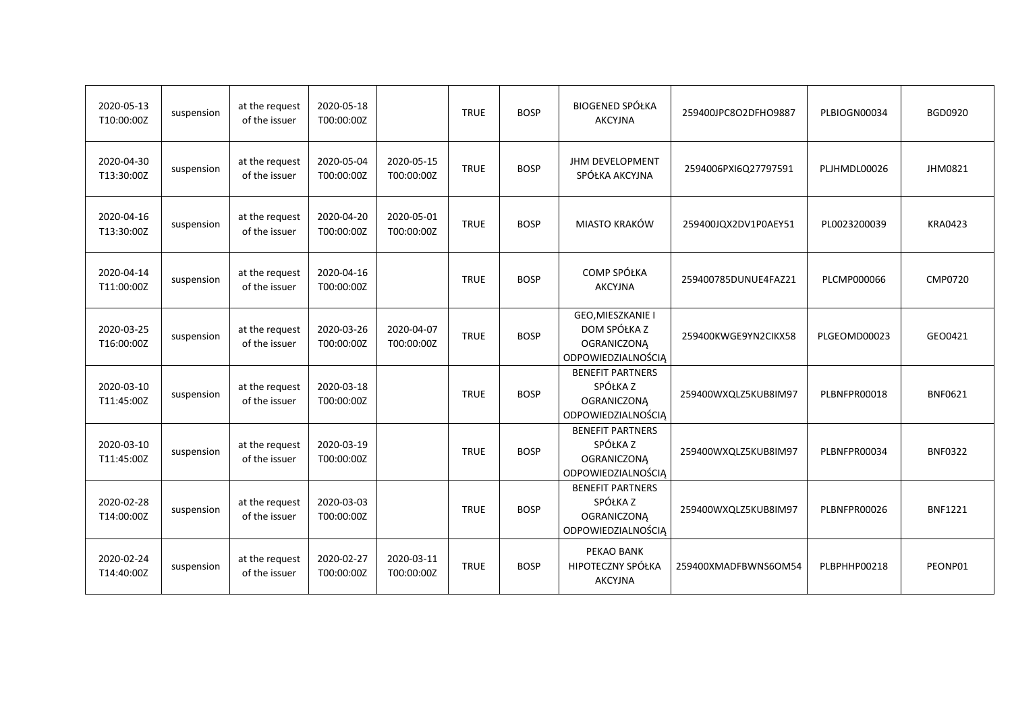| 2020-05-13<br>T10:00:00Z | suspension | at the request<br>of the issuer | 2020-05-18<br>T00:00:00Z |                          | <b>TRUE</b> | <b>BOSP</b> | <b>BIOGENED SPÓŁKA</b><br><b>AKCYJNA</b>                                               | 259400JPC8O2DFHO9887 | PLBIOGN00034 | <b>BGD0920</b> |
|--------------------------|------------|---------------------------------|--------------------------|--------------------------|-------------|-------------|----------------------------------------------------------------------------------------|----------------------|--------------|----------------|
| 2020-04-30<br>T13:30:00Z | suspension | at the request<br>of the issuer | 2020-05-04<br>T00:00:00Z | 2020-05-15<br>T00:00:00Z | <b>TRUE</b> | <b>BOSP</b> | <b>JHM DEVELOPMENT</b><br>SPÓŁKA AKCYJNA                                               | 2594006PXI6Q27797591 | PLJHMDL00026 | JHM0821        |
| 2020-04-16<br>T13:30:00Z | suspension | at the request<br>of the issuer | 2020-04-20<br>T00:00:00Z | 2020-05-01<br>T00:00:00Z | <b>TRUE</b> | <b>BOSP</b> | MIASTO KRAKÓW                                                                          | 259400JQX2DV1P0AEY51 | PL0023200039 | <b>KRA0423</b> |
| 2020-04-14<br>T11:00:00Z | suspension | at the request<br>of the issuer | 2020-04-16<br>T00:00:00Z |                          | <b>TRUE</b> | <b>BOSP</b> | COMP SPÓŁKA<br><b>AKCYJNA</b>                                                          | 259400785DUNUE4FAZ21 | PLCMP000066  | <b>CMP0720</b> |
| 2020-03-25<br>T16:00:00Z | suspension | at the request<br>of the issuer | 2020-03-26<br>T00:00:00Z | 2020-04-07<br>T00:00:00Z | <b>TRUE</b> | <b>BOSP</b> | GEO, MIESZKANIE I<br>DOM SPÓŁKA Z<br><b>OGRANICZONĄ</b><br>ODPOWIEDZIALNOŚCIĄ          | 259400KWGE9YN2CIKX58 | PLGEOMD00023 | GEO0421        |
| 2020-03-10<br>T11:45:00Z | suspension | at the request<br>of the issuer | 2020-03-18<br>T00:00:00Z |                          | <b>TRUE</b> | <b>BOSP</b> | <b>BENEFIT PARTNERS</b><br>SPÓŁKA Z<br><b>OGRANICZONA</b><br><b>ODPOWIEDZIALNOŚCIĄ</b> | 259400WXQLZ5KUB8IM97 | PLBNFPR00018 | <b>BNF0621</b> |
| 2020-03-10<br>T11:45:00Z | suspension | at the request<br>of the issuer | 2020-03-19<br>T00:00:00Z |                          | <b>TRUE</b> | <b>BOSP</b> | <b>BENEFIT PARTNERS</b><br>SPÓŁKA Z<br><b>OGRANICZONĄ</b><br>ODPOWIEDZIALNOŚCIĄ        | 259400WXQLZ5KUB8IM97 | PLBNFPR00034 | <b>BNF0322</b> |
| 2020-02-28<br>T14:00:00Z | suspension | at the request<br>of the issuer | 2020-03-03<br>T00:00:00Z |                          | <b>TRUE</b> | <b>BOSP</b> | <b>BENEFIT PARTNERS</b><br>SPÓŁKA Z<br><b>OGRANICZONĄ</b><br>ODPOWIEDZIALNOŚCIĄ        | 259400WXQLZ5KUB8IM97 | PLBNFPR00026 | <b>BNF1221</b> |
| 2020-02-24<br>T14:40:00Z | suspension | at the request<br>of the issuer | 2020-02-27<br>T00:00:00Z | 2020-03-11<br>T00:00:00Z | <b>TRUE</b> | <b>BOSP</b> | PEKAO BANK<br>HIPOTECZNY SPÓŁKA<br><b>AKCYJNA</b>                                      | 259400XMADFBWNS6OM54 | PLBPHHP00218 | PEONP01        |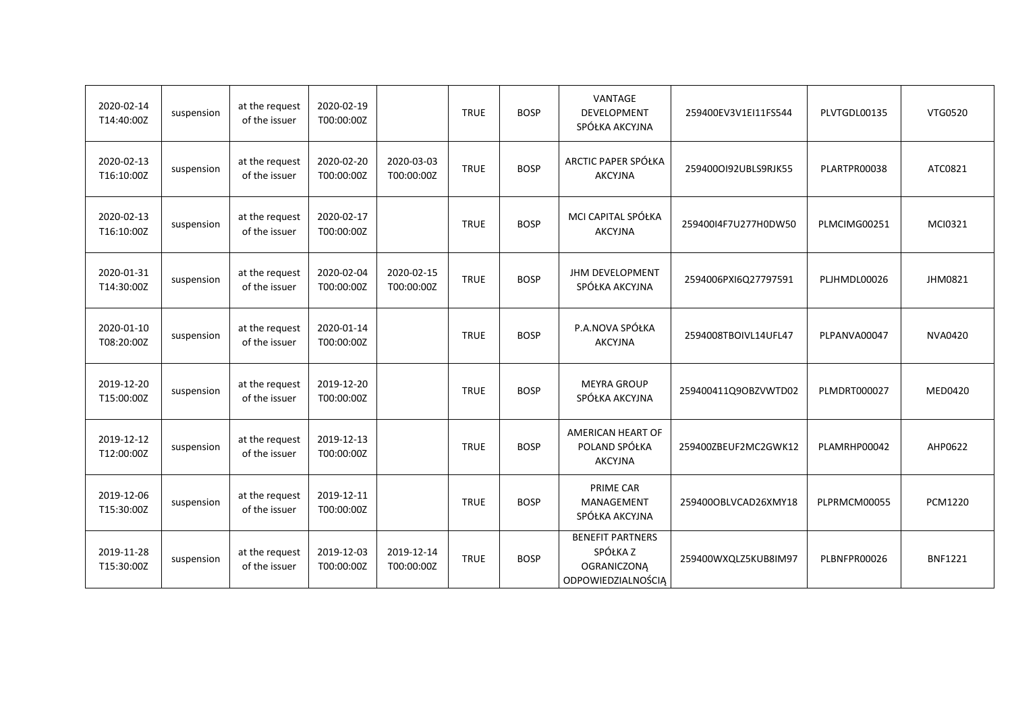| 2020-02-14<br>T14:40:00Z | suspension | at the request<br>of the issuer | 2020-02-19<br>T00:00:00Z |                          | <b>TRUE</b> | <b>BOSP</b> | VANTAGE<br><b>DEVELOPMENT</b><br>SPÓŁKA AKCYJNA                                 | 259400EV3V1EI11FS544 | PLVTGDL00135 | VTG0520        |
|--------------------------|------------|---------------------------------|--------------------------|--------------------------|-------------|-------------|---------------------------------------------------------------------------------|----------------------|--------------|----------------|
| 2020-02-13<br>T16:10:00Z | suspension | at the request<br>of the issuer | 2020-02-20<br>T00:00:00Z | 2020-03-03<br>T00:00:00Z | <b>TRUE</b> | <b>BOSP</b> | ARCTIC PAPER SPÓŁKA<br><b>AKCYJNA</b>                                           | 2594000192UBLS9RJK55 | PLARTPR00038 | ATC0821        |
| 2020-02-13<br>T16:10:00Z | suspension | at the request<br>of the issuer | 2020-02-17<br>T00:00:00Z |                          | <b>TRUE</b> | <b>BOSP</b> | MCI CAPITAL SPÓŁKA<br><b>AKCYJNA</b>                                            | 259400I4F7U277H0DW50 | PLMCIMG00251 | MCI0321        |
| 2020-01-31<br>T14:30:00Z | suspension | at the request<br>of the issuer | 2020-02-04<br>T00:00:00Z | 2020-02-15<br>T00:00:00Z | <b>TRUE</b> | <b>BOSP</b> | JHM DEVELOPMENT<br>SPÓŁKA AKCYJNA                                               | 2594006PXI6Q27797591 | PLJHMDL00026 | JHM0821        |
| 2020-01-10<br>T08:20:00Z | suspension | at the request<br>of the issuer | 2020-01-14<br>T00:00:00Z |                          | <b>TRUE</b> | <b>BOSP</b> | P.A.NOVA SPÓŁKA<br><b>AKCYJNA</b>                                               | 2594008TBOIVL14UFL47 | PLPANVA00047 | <b>NVA0420</b> |
| 2019-12-20<br>T15:00:00Z | suspension | at the request<br>of the issuer | 2019-12-20<br>T00:00:00Z |                          | <b>TRUE</b> | <b>BOSP</b> | <b>MEYRA GROUP</b><br>SPÓŁKA AKCYJNA                                            | 259400411Q9OBZVWTD02 | PLMDRT000027 | MED0420        |
| 2019-12-12<br>T12:00:00Z | suspension | at the request<br>of the issuer | 2019-12-13<br>T00:00:00Z |                          | <b>TRUE</b> | <b>BOSP</b> | AMERICAN HEART OF<br>POLAND SPÓŁKA<br><b>AKCYJNA</b>                            | 259400ZBEUF2MC2GWK12 | PLAMRHP00042 | AHP0622        |
| 2019-12-06<br>T15:30:00Z | suspension | at the request<br>of the issuer | 2019-12-11<br>T00:00:00Z |                          | <b>TRUE</b> | <b>BOSP</b> | PRIME CAR<br><b>MANAGEMENT</b><br>SPÓŁKA AKCYJNA                                | 259400OBLVCAD26XMY18 | PLPRMCM00055 | <b>PCM1220</b> |
| 2019-11-28<br>T15:30:00Z | suspension | at the request<br>of the issuer | 2019-12-03<br>T00:00:00Z | 2019-12-14<br>T00:00:00Z | <b>TRUE</b> | <b>BOSP</b> | <b>BENEFIT PARTNERS</b><br>SPÓŁKA Z<br><b>OGRANICZONĄ</b><br>ODPOWIEDZIALNOŚCIĄ | 259400WXQLZ5KUB8IM97 | PLBNFPR00026 | <b>BNF1221</b> |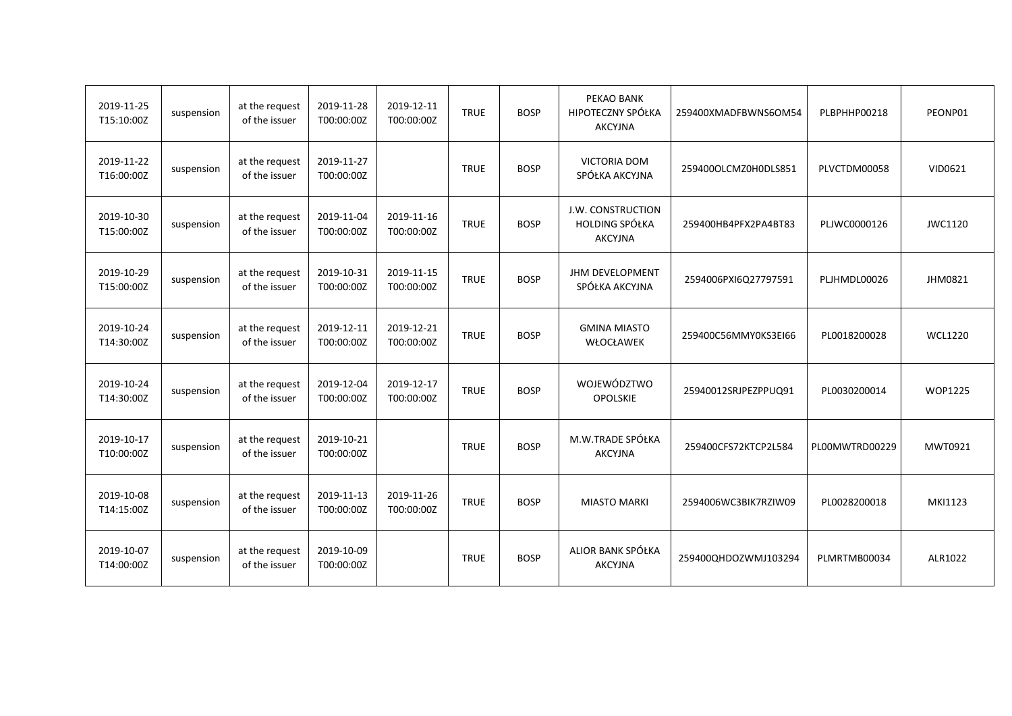| 2019-11-25<br>T15:10:00Z | suspension | at the request<br>of the issuer | 2019-11-28<br>T00:00:00Z | 2019-12-11<br>T00:00:00Z | <b>TRUE</b> | <b>BOSP</b> | PEKAO BANK<br>HIPOTECZNY SPÓŁKA<br><b>AKCYJNA</b>            | 259400XMADFBWNS6OM54 | PLBPHHP00218   | PEONP01        |
|--------------------------|------------|---------------------------------|--------------------------|--------------------------|-------------|-------------|--------------------------------------------------------------|----------------------|----------------|----------------|
| 2019-11-22<br>T16:00:00Z | suspension | at the request<br>of the issuer | 2019-11-27<br>T00:00:00Z |                          | <b>TRUE</b> | <b>BOSP</b> | <b>VICTORIA DOM</b><br>SPÓŁKA AKCYJNA                        | 259400OLCMZ0H0DLS851 | PLVCTDM00058   | VID0621        |
| 2019-10-30<br>T15:00:00Z | suspension | at the request<br>of the issuer | 2019-11-04<br>T00:00:00Z | 2019-11-16<br>T00:00:00Z | <b>TRUE</b> | <b>BOSP</b> | <b>J.W. CONSTRUCTION</b><br>HOLDING SPÓŁKA<br><b>AKCYJNA</b> | 259400HB4PFX2PA4BT83 | PLJWC0000126   | JWC1120        |
| 2019-10-29<br>T15:00:00Z | suspension | at the request<br>of the issuer | 2019-10-31<br>T00:00:00Z | 2019-11-15<br>T00:00:00Z | <b>TRUE</b> | <b>BOSP</b> | <b>JHM DEVELOPMENT</b><br>SPÓŁKA AKCYJNA                     | 2594006PXI6Q27797591 | PLJHMDL00026   | JHM0821        |
| 2019-10-24<br>T14:30:00Z | suspension | at the request<br>of the issuer | 2019-12-11<br>T00:00:00Z | 2019-12-21<br>T00:00:00Z | <b>TRUE</b> | <b>BOSP</b> | <b>GMINA MIASTO</b><br>WŁOCŁAWEK                             | 259400C56MMY0KS3EI66 | PL0018200028   | <b>WCL1220</b> |
| 2019-10-24<br>T14:30:00Z | suspension | at the request<br>of the issuer | 2019-12-04<br>T00:00:00Z | 2019-12-17<br>T00:00:00Z | <b>TRUE</b> | <b>BOSP</b> | WOJEWÓDZTWO<br><b>OPOLSKIE</b>                               | 25940012SRJPEZPPUQ91 | PL0030200014   | <b>WOP1225</b> |
| 2019-10-17<br>T10:00:00Z | suspension | at the request<br>of the issuer | 2019-10-21<br>T00:00:00Z |                          | <b>TRUE</b> | <b>BOSP</b> | M.W.TRADE SPÓŁKA<br><b>AKCYJNA</b>                           | 259400CFS72KTCP2L584 | PL00MWTRD00229 | MWT0921        |
| 2019-10-08<br>T14:15:00Z | suspension | at the request<br>of the issuer | 2019-11-13<br>T00:00:00Z | 2019-11-26<br>T00:00:00Z | <b>TRUE</b> | <b>BOSP</b> | <b>MIASTO MARKI</b>                                          | 2594006WC3BIK7RZIW09 | PL0028200018   | MKI1123        |
| 2019-10-07<br>T14:00:00Z | suspension | at the request<br>of the issuer | 2019-10-09<br>T00:00:00Z |                          | <b>TRUE</b> | <b>BOSP</b> | ALIOR BANK SPÓŁKA<br><b>AKCYJNA</b>                          | 259400QHDOZWMJ103294 | PLMRTMB00034   | ALR1022        |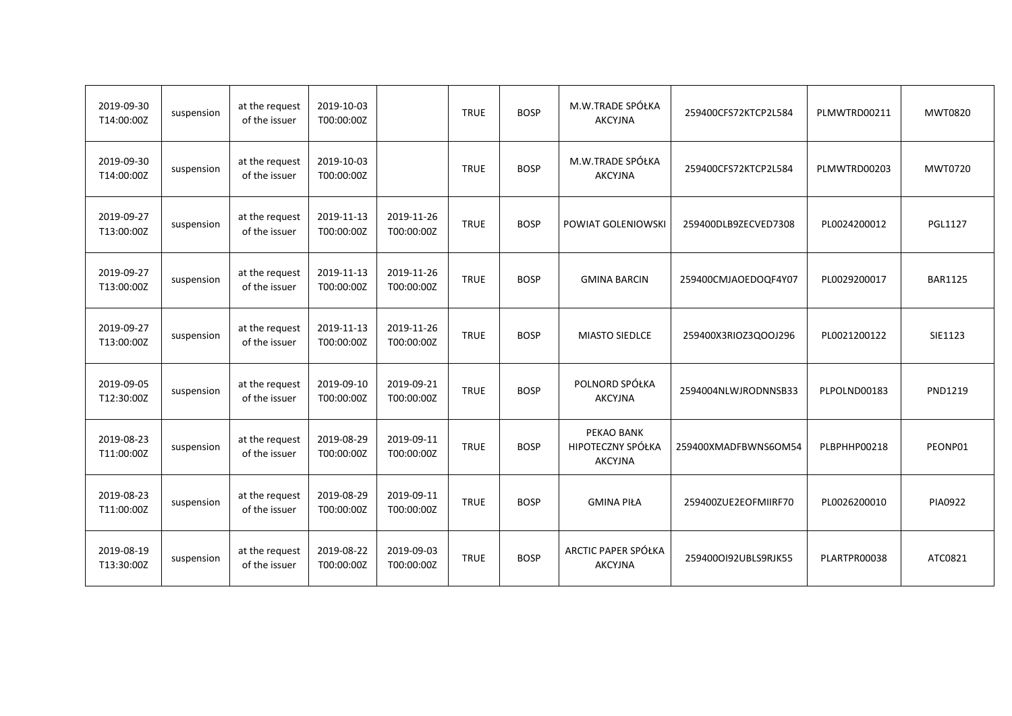| 2019-09-30<br>T14:00:00Z | suspension | at the request<br>of the issuer | 2019-10-03<br>T00:00:00Z |                          | <b>TRUE</b> | <b>BOSP</b> | M.W.TRADE SPÓŁKA<br><b>AKCYJNA</b>                | 259400CFS72KTCP2L584 | PLMWTRD00211 | MWT0820        |
|--------------------------|------------|---------------------------------|--------------------------|--------------------------|-------------|-------------|---------------------------------------------------|----------------------|--------------|----------------|
| 2019-09-30<br>T14:00:00Z | suspension | at the request<br>of the issuer | 2019-10-03<br>T00:00:00Z |                          | <b>TRUE</b> | <b>BOSP</b> | M.W.TRADE SPÓŁKA<br><b>AKCYJNA</b>                | 259400CFS72KTCP2L584 | PLMWTRD00203 | MWT0720        |
| 2019-09-27<br>T13:00:00Z | suspension | at the request<br>of the issuer | 2019-11-13<br>T00:00:00Z | 2019-11-26<br>T00:00:00Z | <b>TRUE</b> | <b>BOSP</b> | POWIAT GOLENIOWSKI                                | 259400DLB9ZECVED7308 | PL0024200012 | <b>PGL1127</b> |
| 2019-09-27<br>T13:00:00Z | suspension | at the request<br>of the issuer | 2019-11-13<br>T00:00:00Z | 2019-11-26<br>T00:00:00Z | <b>TRUE</b> | <b>BOSP</b> | <b>GMINA BARCIN</b>                               | 259400CMJAOEDOQF4Y07 | PL0029200017 | <b>BAR1125</b> |
| 2019-09-27<br>T13:00:00Z | suspension | at the request<br>of the issuer | 2019-11-13<br>T00:00:00Z | 2019-11-26<br>T00:00:00Z | <b>TRUE</b> | <b>BOSP</b> | <b>MIASTO SIEDLCE</b>                             | 259400X3RIOZ3QOOJ296 | PL0021200122 | SIE1123        |
| 2019-09-05<br>T12:30:00Z | suspension | at the request<br>of the issuer | 2019-09-10<br>T00:00:00Z | 2019-09-21<br>T00:00:00Z | <b>TRUE</b> | <b>BOSP</b> | POLNORD SPÓŁKA<br><b>AKCYJNA</b>                  | 2594004NLWJRODNNSB33 | PLPOLND00183 | PND1219        |
| 2019-08-23<br>T11:00:00Z | suspension | at the request<br>of the issuer | 2019-08-29<br>T00:00:00Z | 2019-09-11<br>T00:00:00Z | <b>TRUE</b> | <b>BOSP</b> | PEKAO BANK<br>HIPOTECZNY SPÓŁKA<br><b>AKCYJNA</b> | 259400XMADFBWNS6OM54 | PLBPHHP00218 | PEONP01        |
| 2019-08-23<br>T11:00:00Z | suspension | at the request<br>of the issuer | 2019-08-29<br>T00:00:00Z | 2019-09-11<br>T00:00:00Z | <b>TRUE</b> | <b>BOSP</b> | <b>GMINA PIŁA</b>                                 | 259400ZUE2EOFMIIRF70 | PL0026200010 | PIA0922        |
| 2019-08-19<br>T13:30:00Z | suspension | at the request<br>of the issuer | 2019-08-22<br>T00:00:00Z | 2019-09-03<br>T00:00:00Z | <b>TRUE</b> | <b>BOSP</b> | ARCTIC PAPER SPÓŁKA<br><b>AKCYJNA</b>             | 2594000192UBLS9RJK55 | PLARTPR00038 | ATC0821        |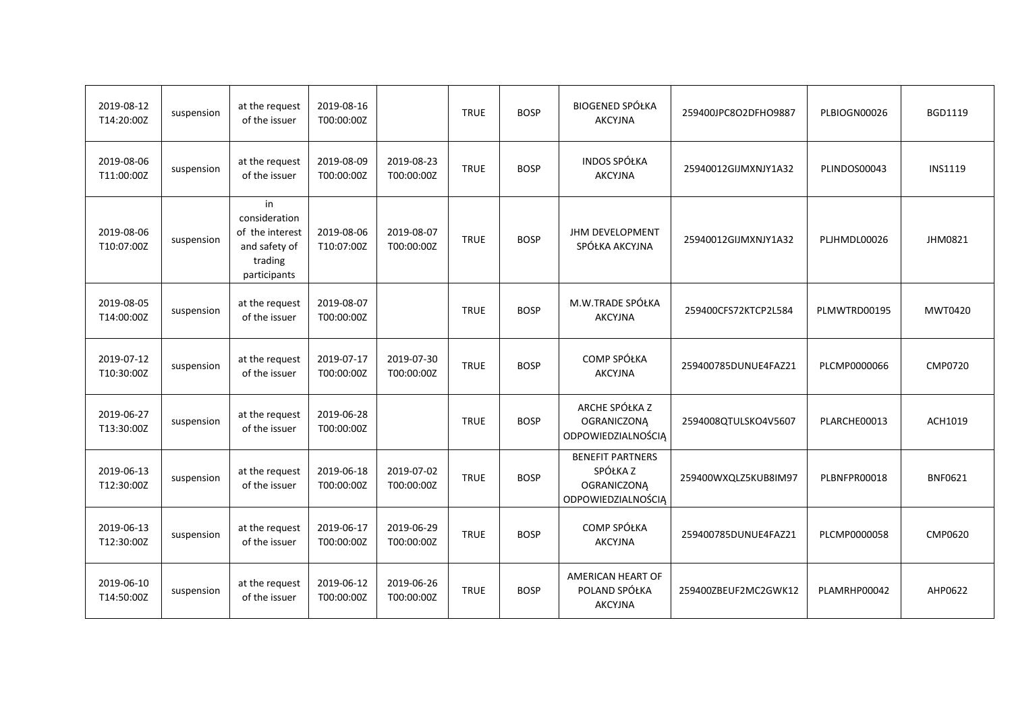| 2019-08-12<br>T14:20:00Z | suspension | at the request<br>of the issuer                                                    | 2019-08-16<br>T00:00:00Z |                          | <b>TRUE</b> | <b>BOSP</b> | <b>BIOGENED SPÓŁKA</b><br><b>AKCYJNA</b>                                        | 259400JPC8O2DFHO9887 | PLBIOGN00026 | BGD1119        |
|--------------------------|------------|------------------------------------------------------------------------------------|--------------------------|--------------------------|-------------|-------------|---------------------------------------------------------------------------------|----------------------|--------------|----------------|
| 2019-08-06<br>T11:00:00Z | suspension | at the request<br>of the issuer                                                    | 2019-08-09<br>T00:00:00Z | 2019-08-23<br>T00:00:00Z | <b>TRUE</b> | <b>BOSP</b> | INDOS SPÓŁKA<br><b>AKCYJNA</b>                                                  | 25940012GIJMXNJY1A32 | PLINDOS00043 | <b>INS1119</b> |
| 2019-08-06<br>T10:07:00Z | suspension | in<br>consideration<br>of the interest<br>and safety of<br>trading<br>participants | 2019-08-06<br>T10:07:00Z | 2019-08-07<br>T00:00:00Z | <b>TRUE</b> | <b>BOSP</b> | <b>JHM DEVELOPMENT</b><br>SPÓŁKA AKCYJNA                                        | 25940012GIJMXNJY1A32 | PLJHMDL00026 | JHM0821        |
| 2019-08-05<br>T14:00:00Z | suspension | at the request<br>of the issuer                                                    | 2019-08-07<br>T00:00:00Z |                          | <b>TRUE</b> | <b>BOSP</b> | M.W.TRADE SPÓŁKA<br><b>AKCYJNA</b>                                              | 259400CFS72KTCP2L584 | PLMWTRD00195 | MWT0420        |
| 2019-07-12<br>T10:30:00Z | suspension | at the request<br>of the issuer                                                    | 2019-07-17<br>T00:00:00Z | 2019-07-30<br>T00:00:00Z | <b>TRUE</b> | <b>BOSP</b> | <b>COMP SPÓŁKA</b><br><b>AKCYJNA</b>                                            | 259400785DUNUE4FAZ21 | PLCMP0000066 | <b>CMP0720</b> |
| 2019-06-27<br>T13:30:00Z | suspension | at the request<br>of the issuer                                                    | 2019-06-28<br>T00:00:00Z |                          | <b>TRUE</b> | <b>BOSP</b> | ARCHE SPÓŁKA Z<br><b>OGRANICZONĄ</b><br>ODPOWIEDZIALNOŚCIĄ                      | 2594008QTULSKO4V5607 | PLARCHE00013 | ACH1019        |
| 2019-06-13<br>T12:30:00Z | suspension | at the request<br>of the issuer                                                    | 2019-06-18<br>T00:00:00Z | 2019-07-02<br>T00:00:00Z | <b>TRUE</b> | <b>BOSP</b> | <b>BENEFIT PARTNERS</b><br>SPÓŁKA Z<br><b>OGRANICZONĄ</b><br>ODPOWIEDZIALNOŚCIĄ | 259400WXQLZ5KUB8IM97 | PLBNFPR00018 | <b>BNF0621</b> |
| 2019-06-13<br>T12:30:00Z | suspension | at the request<br>of the issuer                                                    | 2019-06-17<br>T00:00:00Z | 2019-06-29<br>T00:00:00Z | <b>TRUE</b> | <b>BOSP</b> | COMP SPÓŁKA<br><b>AKCYJNA</b>                                                   | 259400785DUNUE4FAZ21 | PLCMP0000058 | CMP0620        |
| 2019-06-10<br>T14:50:00Z | suspension | at the request<br>of the issuer                                                    | 2019-06-12<br>T00:00:00Z | 2019-06-26<br>T00:00:00Z | <b>TRUE</b> | <b>BOSP</b> | AMERICAN HEART OF<br>POLAND SPÓŁKA<br><b>AKCYJNA</b>                            | 259400ZBEUF2MC2GWK12 | PLAMRHP00042 | AHP0622        |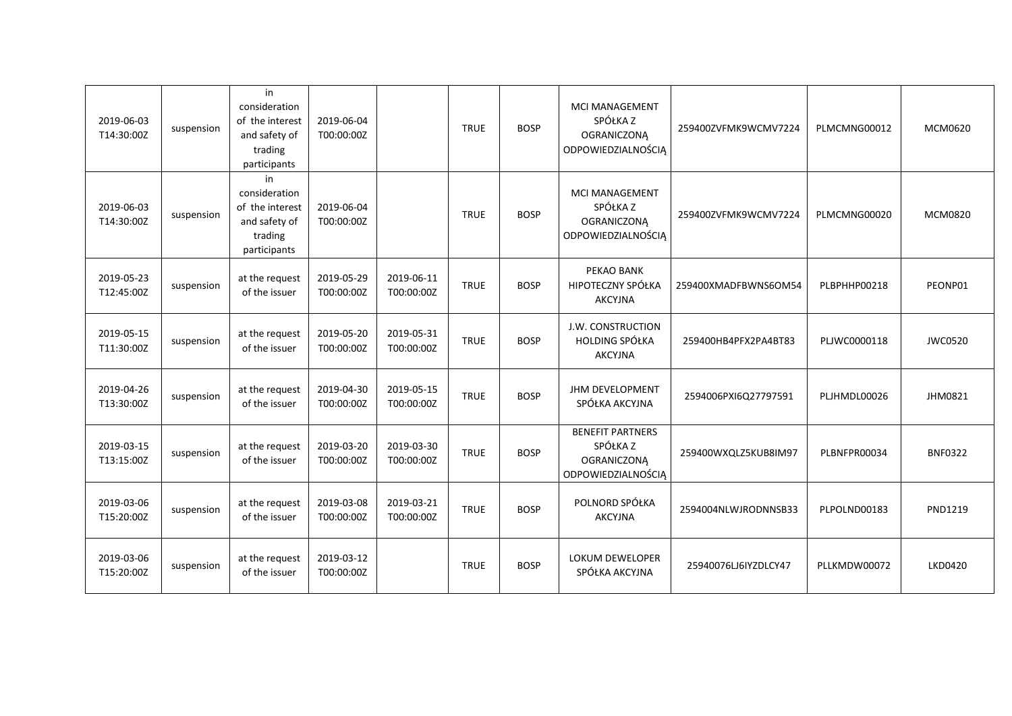| 2019-06-03<br>T14:30:00Z | suspension | in<br>consideration<br>of the interest<br>and safety of<br>trading<br>participants | 2019-06-04<br>T00:00:00Z |                          | <b>TRUE</b> | <b>BOSP</b> | <b>MCI MANAGEMENT</b><br>SPÓŁKA Z<br><b>OGRANICZONĄ</b><br>ODPOWIEDZIALNOŚCIĄ   | 259400ZVFMK9WCMV7224 | PLMCMNG00012 | MCM0620        |
|--------------------------|------------|------------------------------------------------------------------------------------|--------------------------|--------------------------|-------------|-------------|---------------------------------------------------------------------------------|----------------------|--------------|----------------|
| 2019-06-03<br>T14:30:00Z | suspension | in<br>consideration<br>of the interest<br>and safety of<br>trading<br>participants | 2019-06-04<br>T00:00:00Z |                          | <b>TRUE</b> | <b>BOSP</b> | <b>MCI MANAGEMENT</b><br>SPÓŁKA Z<br><b>OGRANICZONA</b><br>ODPOWIEDZIALNOŚCIĄ   | 259400ZVFMK9WCMV7224 | PLMCMNG00020 | MCM0820        |
| 2019-05-23<br>T12:45:00Z | suspension | at the request<br>of the issuer                                                    | 2019-05-29<br>T00:00:00Z | 2019-06-11<br>T00:00:00Z | <b>TRUE</b> | <b>BOSP</b> | PEKAO BANK<br>HIPOTECZNY SPÓŁKA<br><b>AKCYJNA</b>                               | 259400XMADFBWNS6OM54 | PLBPHHP00218 | PEONP01        |
| 2019-05-15<br>T11:30:00Z | suspension | at the request<br>of the issuer                                                    | 2019-05-20<br>T00:00:00Z | 2019-05-31<br>T00:00:00Z | <b>TRUE</b> | <b>BOSP</b> | J.W. CONSTRUCTION<br><b>HOLDING SPÓŁKA</b><br><b>AKCYJNA</b>                    | 259400HB4PFX2PA4BT83 | PLJWC0000118 | <b>JWC0520</b> |
| 2019-04-26<br>T13:30:00Z | suspension | at the request<br>of the issuer                                                    | 2019-04-30<br>T00:00:00Z | 2019-05-15<br>T00:00:00Z | <b>TRUE</b> | <b>BOSP</b> | JHM DEVELOPMENT<br>SPÓŁKA AKCYJNA                                               | 2594006PXI6Q27797591 | PLJHMDL00026 | JHM0821        |
| 2019-03-15<br>T13:15:00Z | suspension | at the request<br>of the issuer                                                    | 2019-03-20<br>T00:00:00Z | 2019-03-30<br>T00:00:00Z | <b>TRUE</b> | <b>BOSP</b> | <b>BENEFIT PARTNERS</b><br>SPÓŁKA Z<br><b>OGRANICZONĄ</b><br>ODPOWIEDZIALNOŚCIĄ | 259400WXQLZ5KUB8IM97 | PLBNFPR00034 | <b>BNF0322</b> |
| 2019-03-06<br>T15:20:00Z | suspension | at the request<br>of the issuer                                                    | 2019-03-08<br>T00:00:00Z | 2019-03-21<br>T00:00:00Z | <b>TRUE</b> | <b>BOSP</b> | POLNORD SPÓŁKA<br><b>AKCYJNA</b>                                                | 2594004NLWJRODNNSB33 | PLPOLND00183 | PND1219        |
| 2019-03-06<br>T15:20:00Z | suspension | at the request<br>of the issuer                                                    | 2019-03-12<br>T00:00:00Z |                          | <b>TRUE</b> | <b>BOSP</b> | <b>LOKUM DEWELOPER</b><br>SPÓŁKA AKCYJNA                                        | 25940076LJ6IYZDLCY47 | PLLKMDW00072 | <b>LKD0420</b> |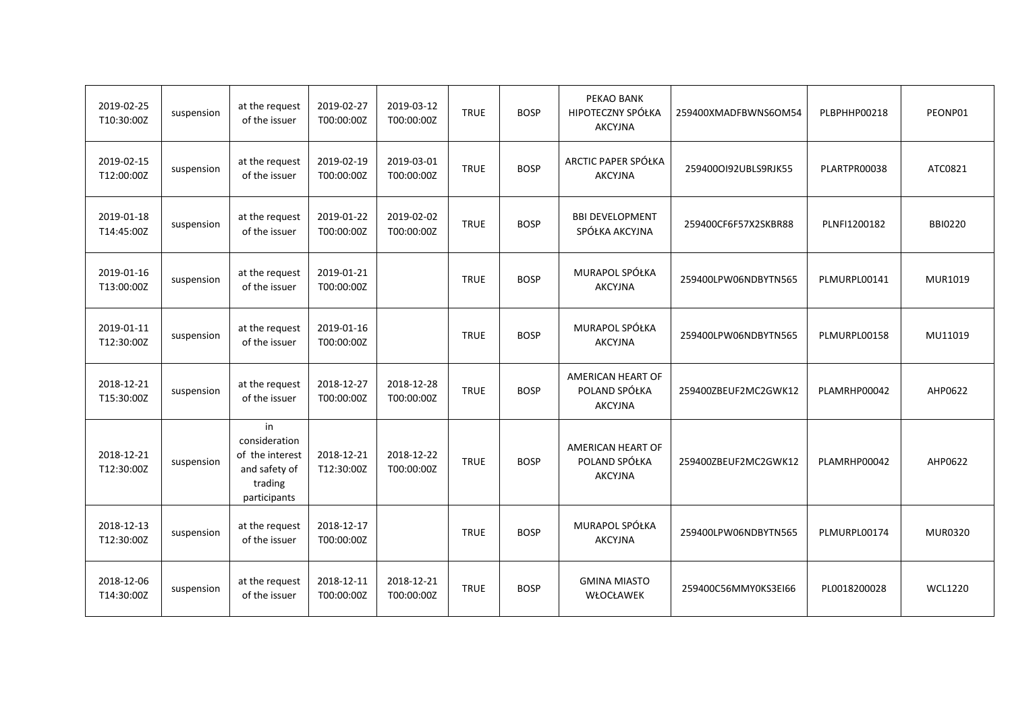| 2019-02-25<br>T10:30:00Z | suspension | at the request<br>of the issuer                                                    | 2019-02-27<br>T00:00:00Z | 2019-03-12<br>T00:00:00Z | <b>TRUE</b> | <b>BOSP</b> | PEKAO BANK<br>HIPOTECZNY SPÓŁKA<br><b>AKCYJNA</b>    | 259400XMADFBWNS6OM54 | PLBPHHP00218 | PEONP01        |
|--------------------------|------------|------------------------------------------------------------------------------------|--------------------------|--------------------------|-------------|-------------|------------------------------------------------------|----------------------|--------------|----------------|
| 2019-02-15<br>T12:00:00Z | suspension | at the request<br>of the issuer                                                    | 2019-02-19<br>T00:00:00Z | 2019-03-01<br>T00:00:00Z | <b>TRUE</b> | <b>BOSP</b> | ARCTIC PAPER SPÓŁKA<br><b>AKCYJNA</b>                | 2594000192UBLS9RJK55 | PLARTPR00038 | ATC0821        |
| 2019-01-18<br>T14:45:00Z | suspension | at the request<br>of the issuer                                                    | 2019-01-22<br>T00:00:00Z | 2019-02-02<br>T00:00:00Z | <b>TRUE</b> | <b>BOSP</b> | <b>BBI DEVELOPMENT</b><br>SPÓŁKA AKCYJNA             | 259400CF6F57X2SKBR88 | PLNFI1200182 | <b>BBI0220</b> |
| 2019-01-16<br>T13:00:00Z | suspension | at the request<br>of the issuer                                                    | 2019-01-21<br>T00:00:00Z |                          | <b>TRUE</b> | <b>BOSP</b> | MURAPOL SPÓŁKA<br><b>AKCYJNA</b>                     | 259400LPW06NDBYTN565 | PLMURPL00141 | MUR1019        |
| 2019-01-11<br>T12:30:00Z | suspension | at the request<br>of the issuer                                                    | 2019-01-16<br>T00:00:00Z |                          | <b>TRUE</b> | <b>BOSP</b> | MURAPOL SPÓŁKA<br><b>AKCYJNA</b>                     | 259400LPW06NDBYTN565 | PLMURPL00158 | MU11019        |
| 2018-12-21<br>T15:30:00Z | suspension | at the request<br>of the issuer                                                    | 2018-12-27<br>T00:00:00Z | 2018-12-28<br>T00:00:00Z | <b>TRUE</b> | <b>BOSP</b> | AMERICAN HEART OF<br>POLAND SPÓŁKA<br><b>AKCYJNA</b> | 259400ZBEUF2MC2GWK12 | PLAMRHP00042 | AHP0622        |
| 2018-12-21<br>T12:30:00Z | suspension | in<br>consideration<br>of the interest<br>and safety of<br>trading<br>participants | 2018-12-21<br>T12:30:00Z | 2018-12-22<br>T00:00:00Z | <b>TRUE</b> | <b>BOSP</b> | AMERICAN HEART OF<br>POLAND SPÓŁKA<br><b>AKCYJNA</b> | 259400ZBEUF2MC2GWK12 | PLAMRHP00042 | AHP0622        |
| 2018-12-13<br>T12:30:00Z | suspension | at the request<br>of the issuer                                                    | 2018-12-17<br>T00:00:00Z |                          | <b>TRUE</b> | <b>BOSP</b> | MURAPOL SPÓŁKA<br><b>AKCYJNA</b>                     | 259400LPW06NDBYTN565 | PLMURPL00174 | <b>MUR0320</b> |
| 2018-12-06<br>T14:30:00Z | suspension | at the request<br>of the issuer                                                    | 2018-12-11<br>T00:00:00Z | 2018-12-21<br>T00:00:00Z | <b>TRUE</b> | <b>BOSP</b> | <b>GMINA MIASTO</b><br>WŁOCŁAWEK                     | 259400C56MMY0KS3EI66 | PL0018200028 | <b>WCL1220</b> |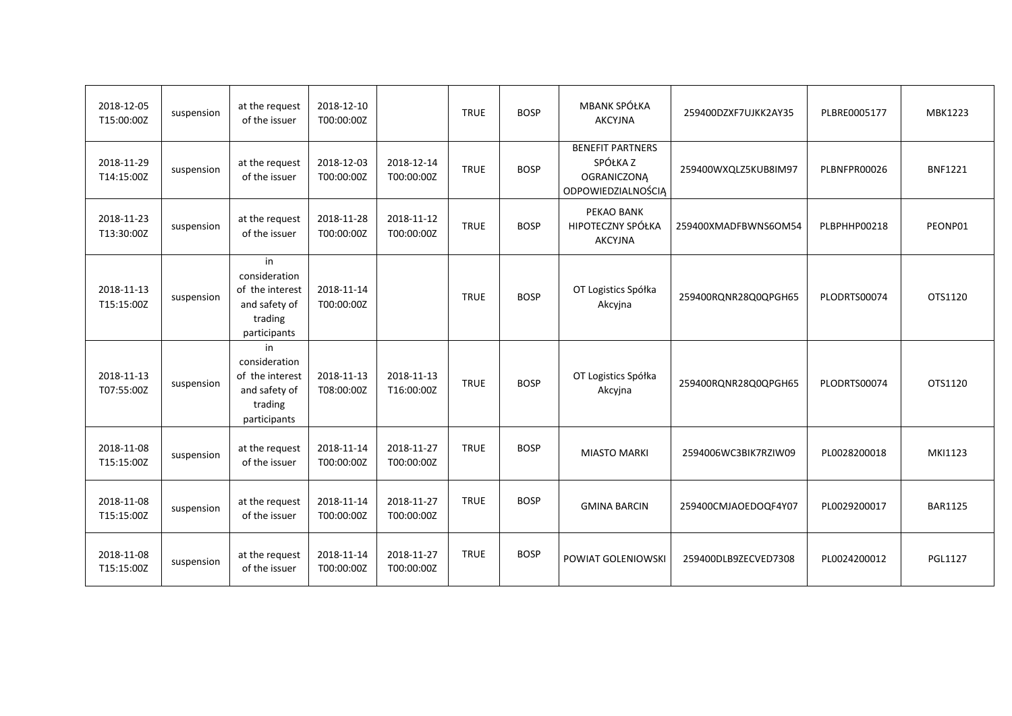| 2018-12-05<br>T15:00:00Z | suspension | at the request<br>of the issuer                                                    | 2018-12-10<br>T00:00:00Z |                          | <b>TRUE</b> | <b>BOSP</b> | MBANK SPÓŁKA<br><b>AKCYJNA</b>                                                  | 259400DZXF7UJKK2AY35 | PLBRE0005177 | MBK1223        |
|--------------------------|------------|------------------------------------------------------------------------------------|--------------------------|--------------------------|-------------|-------------|---------------------------------------------------------------------------------|----------------------|--------------|----------------|
| 2018-11-29<br>T14:15:00Z | suspension | at the request<br>of the issuer                                                    | 2018-12-03<br>T00:00:00Z | 2018-12-14<br>T00:00:00Z | <b>TRUE</b> | <b>BOSP</b> | <b>BENEFIT PARTNERS</b><br>SPÓŁKA Z<br><b>OGRANICZONĄ</b><br>ODPOWIEDZIALNOŚCIĄ | 259400WXQLZ5KUB8IM97 | PLBNFPR00026 | <b>BNF1221</b> |
| 2018-11-23<br>T13:30:00Z | suspension | at the request<br>of the issuer                                                    | 2018-11-28<br>T00:00:00Z | 2018-11-12<br>T00:00:00Z | <b>TRUE</b> | <b>BOSP</b> | PEKAO BANK<br>HIPOTECZNY SPÓŁKA<br><b>AKCYJNA</b>                               | 259400XMADFBWNS6OM54 | PLBPHHP00218 | PEONP01        |
| 2018-11-13<br>T15:15:00Z | suspension | in<br>consideration<br>of the interest<br>and safety of<br>trading<br>participants | 2018-11-14<br>T00:00:00Z |                          | <b>TRUE</b> | <b>BOSP</b> | OT Logistics Spółka<br>Akcyjna                                                  | 259400RQNR28Q0QPGH65 | PLODRTS00074 | OTS1120        |
| 2018-11-13<br>T07:55:00Z | suspension | in<br>consideration<br>of the interest<br>and safety of<br>trading<br>participants | 2018-11-13<br>T08:00:00Z | 2018-11-13<br>T16:00:00Z | <b>TRUE</b> | <b>BOSP</b> | OT Logistics Spółka<br>Akcyjna                                                  | 259400RQNR28Q0QPGH65 | PLODRTS00074 | OTS1120        |
| 2018-11-08<br>T15:15:00Z | suspension | at the request<br>of the issuer                                                    | 2018-11-14<br>T00:00:00Z | 2018-11-27<br>T00:00:00Z | <b>TRUE</b> | <b>BOSP</b> | <b>MIASTO MARKI</b>                                                             | 2594006WC3BIK7RZIW09 | PL0028200018 | MKI1123        |
| 2018-11-08<br>T15:15:00Z | suspension | at the request<br>of the issuer                                                    | 2018-11-14<br>T00:00:00Z | 2018-11-27<br>T00:00:00Z | <b>TRUE</b> | <b>BOSP</b> | <b>GMINA BARCIN</b>                                                             | 259400CMJAOEDOQF4Y07 | PL0029200017 | <b>BAR1125</b> |
| 2018-11-08<br>T15:15:00Z | suspension | at the request<br>of the issuer                                                    | 2018-11-14<br>T00:00:00Z | 2018-11-27<br>T00:00:00Z | <b>TRUE</b> | <b>BOSP</b> | POWIAT GOLENIOWSKI                                                              | 259400DLB9ZECVED7308 | PL0024200012 | <b>PGL1127</b> |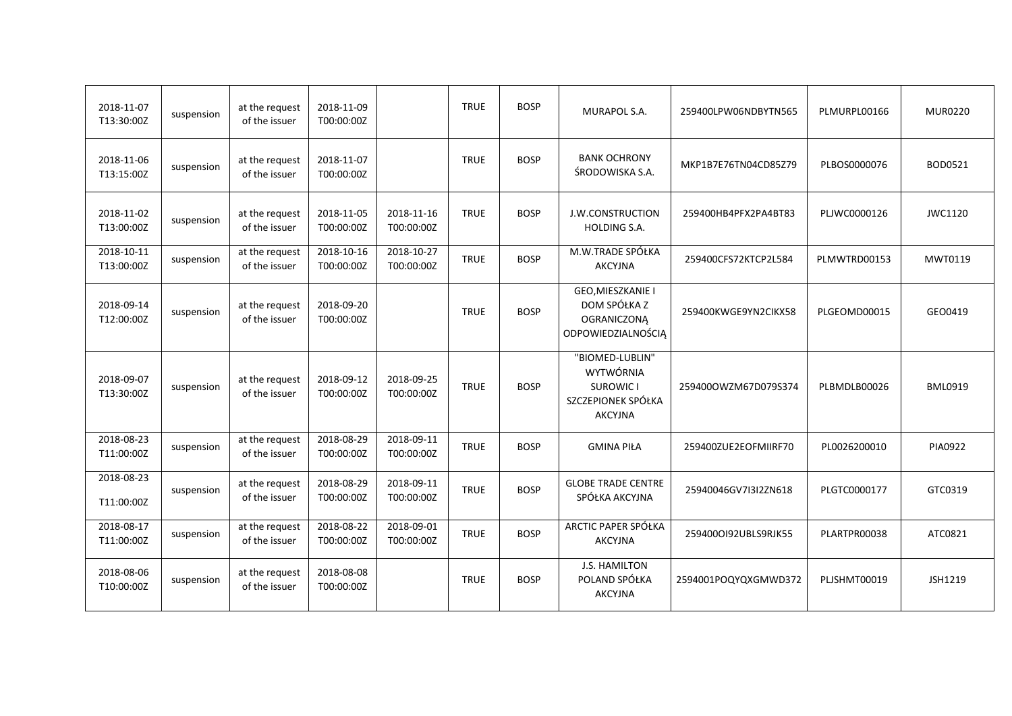| 2018-11-07<br>T13:30:00Z | suspension | at the request<br>of the issuer | 2018-11-09<br>T00:00:00Z |                          | <b>TRUE</b> | <b>BOSP</b> | MURAPOL S.A.                                                                             | 259400LPW06NDBYTN565 | PLMURPL00166 | <b>MUR0220</b> |
|--------------------------|------------|---------------------------------|--------------------------|--------------------------|-------------|-------------|------------------------------------------------------------------------------------------|----------------------|--------------|----------------|
| 2018-11-06<br>T13:15:00Z | suspension | at the request<br>of the issuer | 2018-11-07<br>T00:00:00Z |                          | <b>TRUE</b> | <b>BOSP</b> | <b>BANK OCHRONY</b><br>ŚRODOWISKA S.A.                                                   | MKP1B7E76TN04CD85Z79 | PLBOS0000076 | BOD0521        |
| 2018-11-02<br>T13:00:00Z | suspension | at the request<br>of the issuer | 2018-11-05<br>T00:00:00Z | 2018-11-16<br>T00:00:00Z | <b>TRUE</b> | <b>BOSP</b> | J.W.CONSTRUCTION<br><b>HOLDING S.A.</b>                                                  | 259400HB4PFX2PA4BT83 | PLJWC0000126 | JWC1120        |
| 2018-10-11<br>T13:00:00Z | suspension | at the request<br>of the issuer | 2018-10-16<br>T00:00:00Z | 2018-10-27<br>T00:00:00Z | <b>TRUE</b> | <b>BOSP</b> | M.W.TRADE SPÓŁKA<br><b>AKCYJNA</b>                                                       | 259400CFS72KTCP2L584 | PLMWTRD00153 | MWT0119        |
| 2018-09-14<br>T12:00:00Z | suspension | at the request<br>of the issuer | 2018-09-20<br>T00:00:00Z |                          | <b>TRUE</b> | <b>BOSP</b> | GEO, MIESZKANIE I<br>DOM SPÓŁKA Z<br><b>OGRANICZONA</b><br>ODPOWIEDZIALNOŚCIĄ            | 259400KWGE9YN2CIKX58 | PLGEOMD00015 | GEO0419        |
| 2018-09-07<br>T13:30:00Z | suspension | at the request<br>of the issuer | 2018-09-12<br>T00:00:00Z | 2018-09-25<br>T00:00:00Z | <b>TRUE</b> | <b>BOSP</b> | "BIOMED-LUBLIN"<br>WYTWÓRNIA<br><b>SUROWIC I</b><br>SZCZEPIONEK SPÓŁKA<br><b>AKCYJNA</b> | 259400OWZM67D079S374 | PLBMDLB00026 | <b>BML0919</b> |
| 2018-08-23<br>T11:00:00Z | suspension | at the request<br>of the issuer | 2018-08-29<br>T00:00:00Z | 2018-09-11<br>T00:00:00Z | <b>TRUE</b> | <b>BOSP</b> | <b>GMINA PIŁA</b>                                                                        | 259400ZUE2EOFMIIRF70 | PL0026200010 | <b>PIA0922</b> |
| 2018-08-23<br>T11:00:00Z | suspension | at the request<br>of the issuer | 2018-08-29<br>T00:00:00Z | 2018-09-11<br>T00:00:00Z | <b>TRUE</b> | <b>BOSP</b> | <b>GLOBE TRADE CENTRE</b><br>SPÓŁKA AKCYJNA                                              | 25940046GV7I3I2ZN618 | PLGTC0000177 | GTC0319        |
| 2018-08-17<br>T11:00:00Z | suspension | at the request<br>of the issuer | 2018-08-22<br>T00:00:00Z | 2018-09-01<br>T00:00:00Z | <b>TRUE</b> | <b>BOSP</b> | ARCTIC PAPER SPÓŁKA<br><b>AKCYJNA</b>                                                    | 2594000192UBLS9RJK55 | PLARTPR00038 | ATC0821        |
| 2018-08-06<br>T10:00:00Z | suspension | at the request<br>of the issuer | 2018-08-08<br>T00:00:00Z |                          | <b>TRUE</b> | <b>BOSP</b> | J.S. HAMILTON<br>POLAND SPÓŁKA<br><b>AKCYJNA</b>                                         | 2594001POQYQXGMWD372 | PLJSHMT00019 | JSH1219        |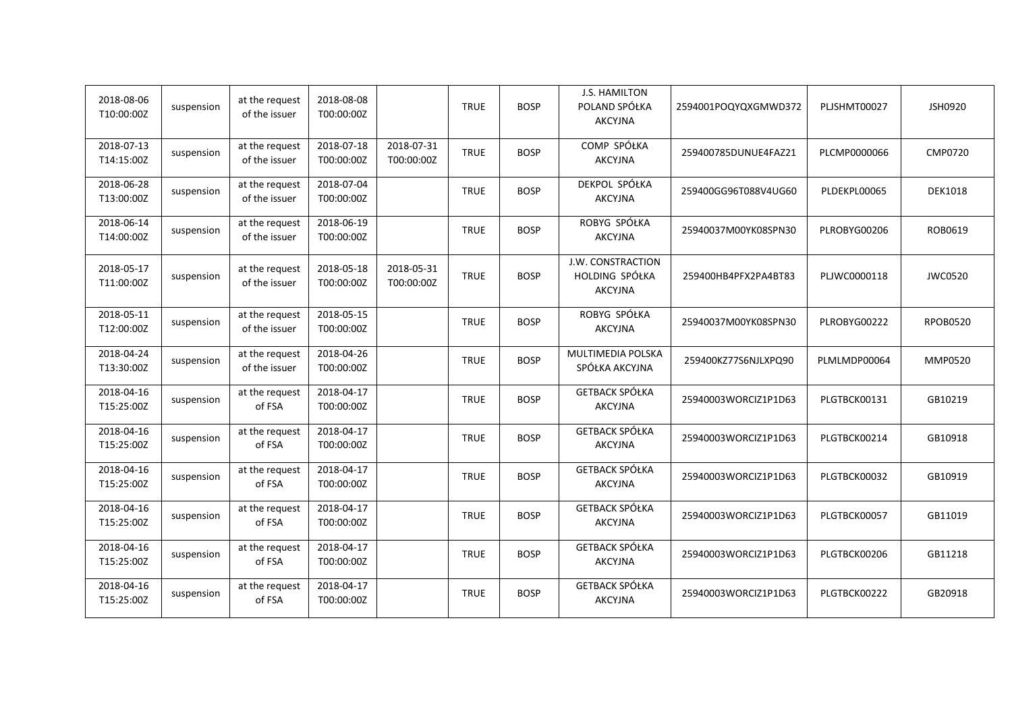| 2018-08-06<br>T10:00:00Z | suspension | at the request<br>of the issuer | 2018-08-08<br>T00:00:00Z |                          | <b>TRUE</b> | <b>BOSP</b> | J.S. HAMILTON<br>POLAND SPÓŁKA<br><b>AKCYJNA</b>      | 2594001POQYQXGMWD372 | PLJSHMT00027 | JSH0920         |
|--------------------------|------------|---------------------------------|--------------------------|--------------------------|-------------|-------------|-------------------------------------------------------|----------------------|--------------|-----------------|
| 2018-07-13<br>T14:15:00Z | suspension | at the request<br>of the issuer | 2018-07-18<br>T00:00:00Z | 2018-07-31<br>T00:00:00Z | <b>TRUE</b> | <b>BOSP</b> | COMP SPÓŁKA<br><b>AKCYJNA</b>                         | 259400785DUNUE4FAZ21 | PLCMP0000066 | <b>CMP0720</b>  |
| 2018-06-28<br>T13:00:00Z | suspension | at the request<br>of the issuer | 2018-07-04<br>T00:00:00Z |                          | <b>TRUE</b> | <b>BOSP</b> | DEKPOL SPÓŁKA<br><b>AKCYJNA</b>                       | 259400GG96T088V4UG60 | PLDEKPL00065 | <b>DEK1018</b>  |
| 2018-06-14<br>T14:00:00Z | suspension | at the request<br>of the issuer | 2018-06-19<br>T00:00:00Z |                          | <b>TRUE</b> | <b>BOSP</b> | ROBYG SPÓŁKA<br><b>AKCYJNA</b>                        | 25940037M00YK08SPN30 | PLROBYG00206 | ROB0619         |
| 2018-05-17<br>T11:00:00Z | suspension | at the request<br>of the issuer | 2018-05-18<br>T00:00:00Z | 2018-05-31<br>T00:00:00Z | <b>TRUE</b> | <b>BOSP</b> | J.W. CONSTRACTION<br>HOLDING SPÓŁKA<br><b>AKCYJNA</b> | 259400HB4PFX2PA4BT83 | PLJWC0000118 | <b>JWC0520</b>  |
| 2018-05-11<br>T12:00:00Z | suspension | at the request<br>of the issuer | 2018-05-15<br>T00:00:00Z |                          | <b>TRUE</b> | <b>BOSP</b> | ROBYG SPÓŁKA<br><b>AKCYJNA</b>                        | 25940037M00YK08SPN30 | PLROBYG00222 | <b>RPOB0520</b> |
| 2018-04-24<br>T13:30:00Z | suspension | at the request<br>of the issuer | 2018-04-26<br>T00:00:00Z |                          | <b>TRUE</b> | <b>BOSP</b> | MULTIMEDIA POLSKA<br>SPÓŁKA AKCYJNA                   | 259400KZ77S6NJLXPQ90 | PLMLMDP00064 | <b>MMP0520</b>  |
| 2018-04-16<br>T15:25:00Z | suspension | at the request<br>of FSA        | 2018-04-17<br>T00:00:00Z |                          | <b>TRUE</b> | <b>BOSP</b> | <b>GETBACK SPÓŁKA</b><br><b>AKCYJNA</b>               | 25940003WORCIZ1P1D63 | PLGTBCK00131 | GB10219         |
| 2018-04-16<br>T15:25:00Z | suspension | at the request<br>of FSA        | 2018-04-17<br>T00:00:00Z |                          | <b>TRUE</b> | <b>BOSP</b> | GETBACK SPÓŁKA<br><b>AKCYJNA</b>                      | 25940003WORCIZ1P1D63 | PLGTBCK00214 | GB10918         |
| 2018-04-16<br>T15:25:00Z | suspension | at the request<br>of FSA        | 2018-04-17<br>T00:00:00Z |                          | <b>TRUE</b> | <b>BOSP</b> | GETBACK SPÓŁKA<br><b>AKCYJNA</b>                      | 25940003WORCIZ1P1D63 | PLGTBCK00032 | GB10919         |
| 2018-04-16<br>T15:25:00Z | suspension | at the request<br>of FSA        | 2018-04-17<br>T00:00:00Z |                          | <b>TRUE</b> | <b>BOSP</b> | <b>GETBACK SPÓŁKA</b><br><b>AKCYJNA</b>               | 25940003WORCIZ1P1D63 | PLGTBCK00057 | GB11019         |
| 2018-04-16<br>T15:25:00Z | suspension | at the request<br>of FSA        | 2018-04-17<br>T00:00:00Z |                          | <b>TRUE</b> | <b>BOSP</b> | <b>GETBACK SPÓŁKA</b><br><b>AKCYJNA</b>               | 25940003WORCIZ1P1D63 | PLGTBCK00206 | GB11218         |
| 2018-04-16<br>T15:25:00Z | suspension | at the request<br>of FSA        | 2018-04-17<br>T00:00:00Z |                          | <b>TRUE</b> | <b>BOSP</b> | <b>GETBACK SPÓŁKA</b><br><b>AKCYJNA</b>               | 25940003WORCIZ1P1D63 | PLGTBCK00222 | GB20918         |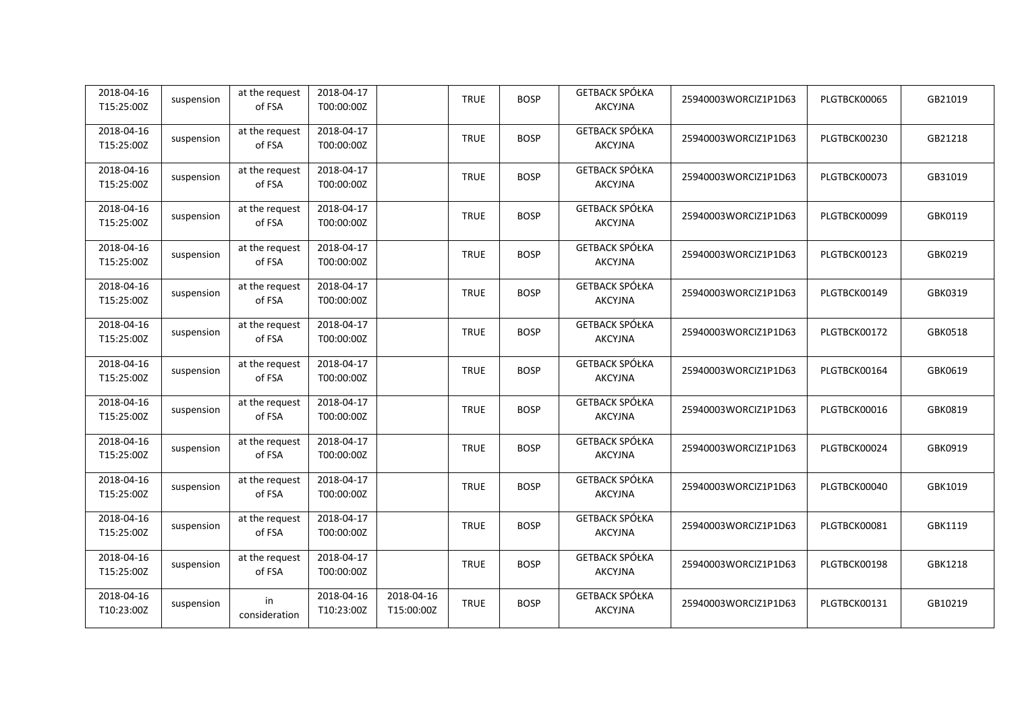| 2018-04-16<br>T15:25:00Z | suspension | at the request<br>of FSA | 2018-04-17<br>T00:00:00Z |                          | <b>TRUE</b> | <b>BOSP</b> | <b>GETBACK SPÓŁKA</b><br><b>AKCYJNA</b> | 25940003WORCIZ1P1D63 | PLGTBCK00065 | GB21019 |
|--------------------------|------------|--------------------------|--------------------------|--------------------------|-------------|-------------|-----------------------------------------|----------------------|--------------|---------|
| 2018-04-16<br>T15:25:00Z | suspension | at the request<br>of FSA | 2018-04-17<br>T00:00:00Z |                          | <b>TRUE</b> | <b>BOSP</b> | <b>GETBACK SPÓŁKA</b><br><b>AKCYJNA</b> | 25940003WORCIZ1P1D63 | PLGTBCK00230 | GB21218 |
| 2018-04-16<br>T15:25:00Z | suspension | at the request<br>of FSA | 2018-04-17<br>T00:00:00Z |                          | <b>TRUE</b> | <b>BOSP</b> | <b>GETBACK SPÓŁKA</b><br><b>AKCYJNA</b> | 25940003WORCIZ1P1D63 | PLGTBCK00073 | GB31019 |
| 2018-04-16<br>T15:25:00Z | suspension | at the request<br>of FSA | 2018-04-17<br>T00:00:00Z |                          | <b>TRUE</b> | <b>BOSP</b> | <b>GETBACK SPÓŁKA</b><br><b>AKCYJNA</b> | 25940003WORCIZ1P1D63 | PLGTBCK00099 | GBK0119 |
| 2018-04-16<br>T15:25:00Z | suspension | at the request<br>of FSA | 2018-04-17<br>T00:00:00Z |                          | <b>TRUE</b> | <b>BOSP</b> | <b>GETBACK SPÓŁKA</b><br><b>AKCYJNA</b> | 25940003WORCIZ1P1D63 | PLGTBCK00123 | GBK0219 |
| 2018-04-16<br>T15:25:00Z | suspension | at the request<br>of FSA | 2018-04-17<br>T00:00:00Z |                          | <b>TRUE</b> | <b>BOSP</b> | <b>GETBACK SPÓŁKA</b><br>AKCYJNA        | 25940003WORCIZ1P1D63 | PLGTBCK00149 | GBK0319 |
| 2018-04-16<br>T15:25:00Z | suspension | at the request<br>of FSA | 2018-04-17<br>T00:00:00Z |                          | <b>TRUE</b> | <b>BOSP</b> | <b>GETBACK SPÓŁKA</b><br><b>AKCYJNA</b> | 25940003WORCIZ1P1D63 | PLGTBCK00172 | GBK0518 |
| 2018-04-16<br>T15:25:00Z | suspension | at the request<br>of FSA | 2018-04-17<br>T00:00:00Z |                          | <b>TRUE</b> | <b>BOSP</b> | <b>GETBACK SPÓŁKA</b><br><b>AKCYJNA</b> | 25940003WORCIZ1P1D63 | PLGTBCK00164 | GBK0619 |
| 2018-04-16<br>T15:25:00Z | suspension | at the request<br>of FSA | 2018-04-17<br>T00:00:00Z |                          | <b>TRUE</b> | <b>BOSP</b> | <b>GETBACK SPÓŁKA</b><br><b>AKCYJNA</b> | 25940003WORCIZ1P1D63 | PLGTBCK00016 | GBK0819 |
| 2018-04-16<br>T15:25:00Z | suspension | at the request<br>of FSA | 2018-04-17<br>T00:00:00Z |                          | <b>TRUE</b> | <b>BOSP</b> | GETBACK SPÓŁKA<br><b>AKCYJNA</b>        | 25940003WORCIZ1P1D63 | PLGTBCK00024 | GBK0919 |
| 2018-04-16<br>T15:25:00Z | suspension | at the request<br>of FSA | 2018-04-17<br>T00:00:00Z |                          | <b>TRUE</b> | <b>BOSP</b> | <b>GETBACK SPÓŁKA</b><br>AKCYJNA        | 25940003WORCIZ1P1D63 | PLGTBCK00040 | GBK1019 |
| 2018-04-16<br>T15:25:00Z | suspension | at the request<br>of FSA | 2018-04-17<br>T00:00:00Z |                          | <b>TRUE</b> | <b>BOSP</b> | <b>GETBACK SPÓŁKA</b><br><b>AKCYJNA</b> | 25940003WORCIZ1P1D63 | PLGTBCK00081 | GBK1119 |
| 2018-04-16<br>T15:25:00Z | suspension | at the request<br>of FSA | 2018-04-17<br>T00:00:00Z |                          | <b>TRUE</b> | <b>BOSP</b> | <b>GETBACK SPÓŁKA</b><br><b>AKCYJNA</b> | 25940003WORCIZ1P1D63 | PLGTBCK00198 | GBK1218 |
| 2018-04-16<br>T10:23:00Z | suspension | in<br>consideration      | 2018-04-16<br>T10:23:00Z | 2018-04-16<br>T15:00:00Z | <b>TRUE</b> | <b>BOSP</b> | <b>GETBACK SPÓŁKA</b><br>AKCYJNA        | 25940003WORCIZ1P1D63 | PLGTBCK00131 | GB10219 |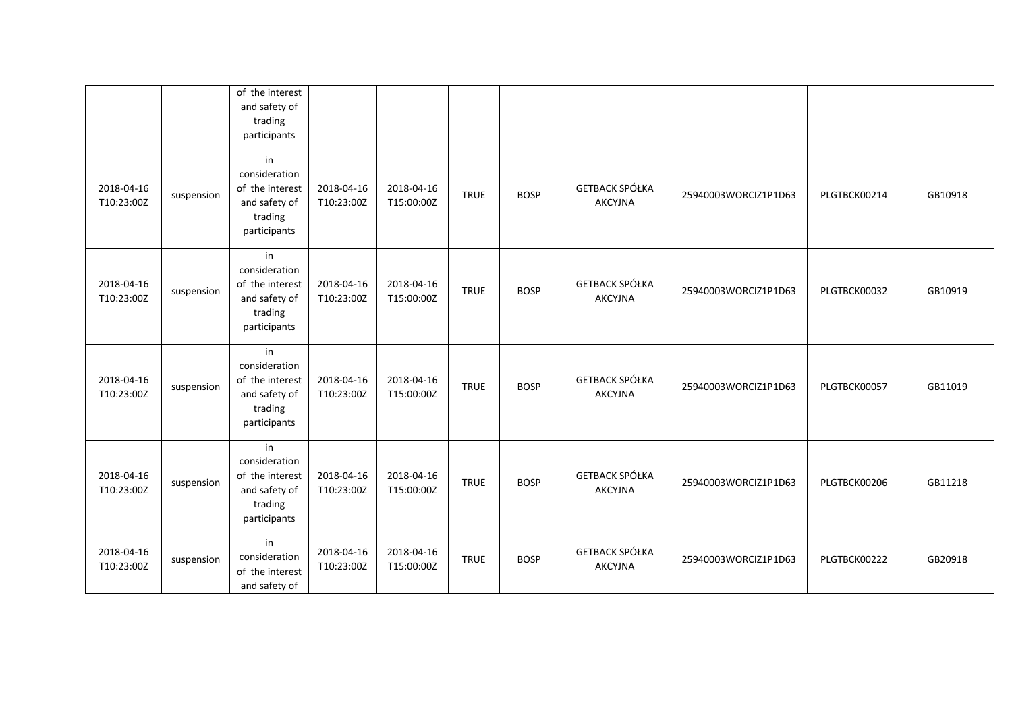|                          |            | of the interest<br>and safety of<br>trading<br>participants                        |                          |                          |             |             |                                         |                      |              |         |
|--------------------------|------------|------------------------------------------------------------------------------------|--------------------------|--------------------------|-------------|-------------|-----------------------------------------|----------------------|--------------|---------|
| 2018-04-16<br>T10:23:00Z | suspension | in<br>consideration<br>of the interest<br>and safety of<br>trading<br>participants | 2018-04-16<br>T10:23:00Z | 2018-04-16<br>T15:00:00Z | <b>TRUE</b> | <b>BOSP</b> | <b>GETBACK SPÓŁKA</b><br><b>AKCYJNA</b> | 25940003WORCIZ1P1D63 | PLGTBCK00214 | GB10918 |
| 2018-04-16<br>T10:23:00Z | suspension | in<br>consideration<br>of the interest<br>and safety of<br>trading<br>participants | 2018-04-16<br>T10:23:00Z | 2018-04-16<br>T15:00:00Z | <b>TRUE</b> | <b>BOSP</b> | <b>GETBACK SPÓŁKA</b><br><b>AKCYJNA</b> | 25940003WORCIZ1P1D63 | PLGTBCK00032 | GB10919 |
| 2018-04-16<br>T10:23:00Z | suspension | in<br>consideration<br>of the interest<br>and safety of<br>trading<br>participants | 2018-04-16<br>T10:23:00Z | 2018-04-16<br>T15:00:00Z | <b>TRUE</b> | <b>BOSP</b> | <b>GETBACK SPÓŁKA</b><br><b>AKCYJNA</b> | 25940003WORCIZ1P1D63 | PLGTBCK00057 | GB11019 |
| 2018-04-16<br>T10:23:00Z | suspension | in<br>consideration<br>of the interest<br>and safety of<br>trading<br>participants | 2018-04-16<br>T10:23:00Z | 2018-04-16<br>T15:00:00Z | <b>TRUE</b> | <b>BOSP</b> | <b>GETBACK SPÓŁKA</b><br><b>AKCYJNA</b> | 25940003WORCIZ1P1D63 | PLGTBCK00206 | GB11218 |
| 2018-04-16<br>T10:23:00Z | suspension | in<br>consideration<br>of the interest<br>and safety of                            | 2018-04-16<br>T10:23:00Z | 2018-04-16<br>T15:00:00Z | <b>TRUE</b> | <b>BOSP</b> | <b>GETBACK SPÓŁKA</b><br><b>AKCYJNA</b> | 25940003WORCIZ1P1D63 | PLGTBCK00222 | GB20918 |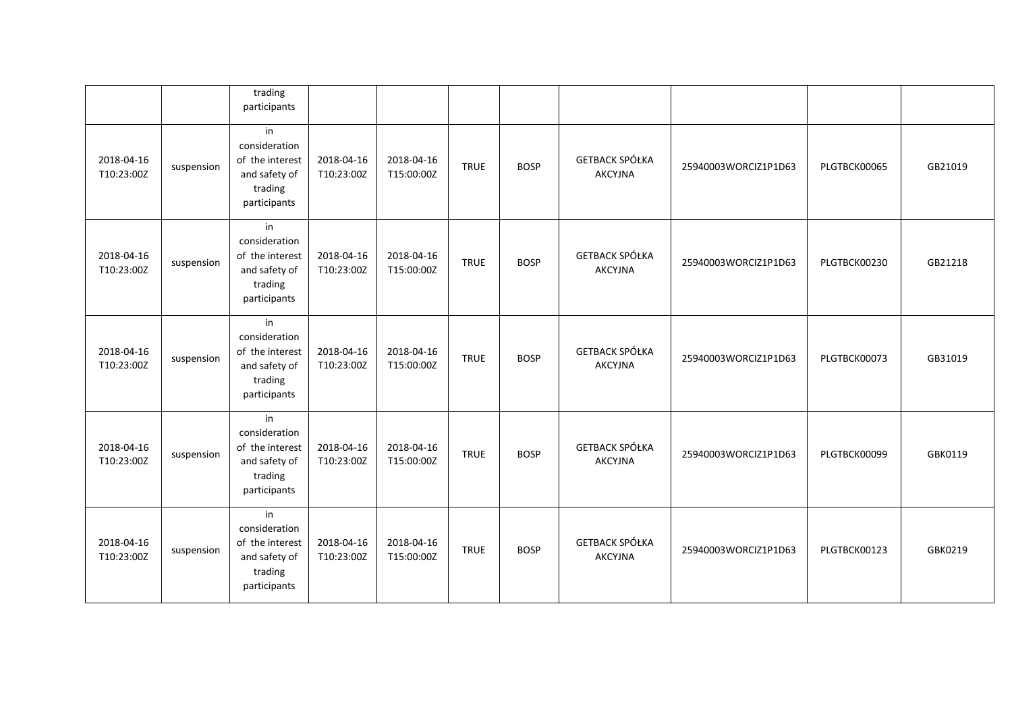|                          |            | trading<br>participants                                                            |                          |                          |             |             |                                         |                      |              |         |
|--------------------------|------------|------------------------------------------------------------------------------------|--------------------------|--------------------------|-------------|-------------|-----------------------------------------|----------------------|--------------|---------|
| 2018-04-16<br>T10:23:00Z | suspension | in<br>consideration<br>of the interest<br>and safety of<br>trading<br>participants | 2018-04-16<br>T10:23:00Z | 2018-04-16<br>T15:00:00Z | <b>TRUE</b> | <b>BOSP</b> | <b>GETBACK SPÓŁKA</b><br><b>AKCYJNA</b> | 25940003WORCIZ1P1D63 | PLGTBCK00065 | GB21019 |
| 2018-04-16<br>T10:23:00Z | suspension | in<br>consideration<br>of the interest<br>and safety of<br>trading<br>participants | 2018-04-16<br>T10:23:00Z | 2018-04-16<br>T15:00:00Z | <b>TRUE</b> | <b>BOSP</b> | <b>GETBACK SPÓŁKA</b><br><b>AKCYJNA</b> | 25940003WORCIZ1P1D63 | PLGTBCK00230 | GB21218 |
| 2018-04-16<br>T10:23:00Z | suspension | in<br>consideration<br>of the interest<br>and safety of<br>trading<br>participants | 2018-04-16<br>T10:23:00Z | 2018-04-16<br>T15:00:00Z | <b>TRUE</b> | <b>BOSP</b> | <b>GETBACK SPÓŁKA</b><br><b>AKCYJNA</b> | 25940003WORCIZ1P1D63 | PLGTBCK00073 | GB31019 |
| 2018-04-16<br>T10:23:00Z | suspension | in<br>consideration<br>of the interest<br>and safety of<br>trading<br>participants | 2018-04-16<br>T10:23:00Z | 2018-04-16<br>T15:00:00Z | <b>TRUE</b> | <b>BOSP</b> | <b>GETBACK SPÓŁKA</b><br><b>AKCYJNA</b> | 25940003WORCIZ1P1D63 | PLGTBCK00099 | GBK0119 |
| 2018-04-16<br>T10:23:00Z | suspension | in<br>consideration<br>of the interest<br>and safety of<br>trading<br>participants | 2018-04-16<br>T10:23:00Z | 2018-04-16<br>T15:00:00Z | <b>TRUE</b> | <b>BOSP</b> | <b>GETBACK SPÓŁKA</b><br><b>AKCYJNA</b> | 25940003WORCIZ1P1D63 | PLGTBCK00123 | GBK0219 |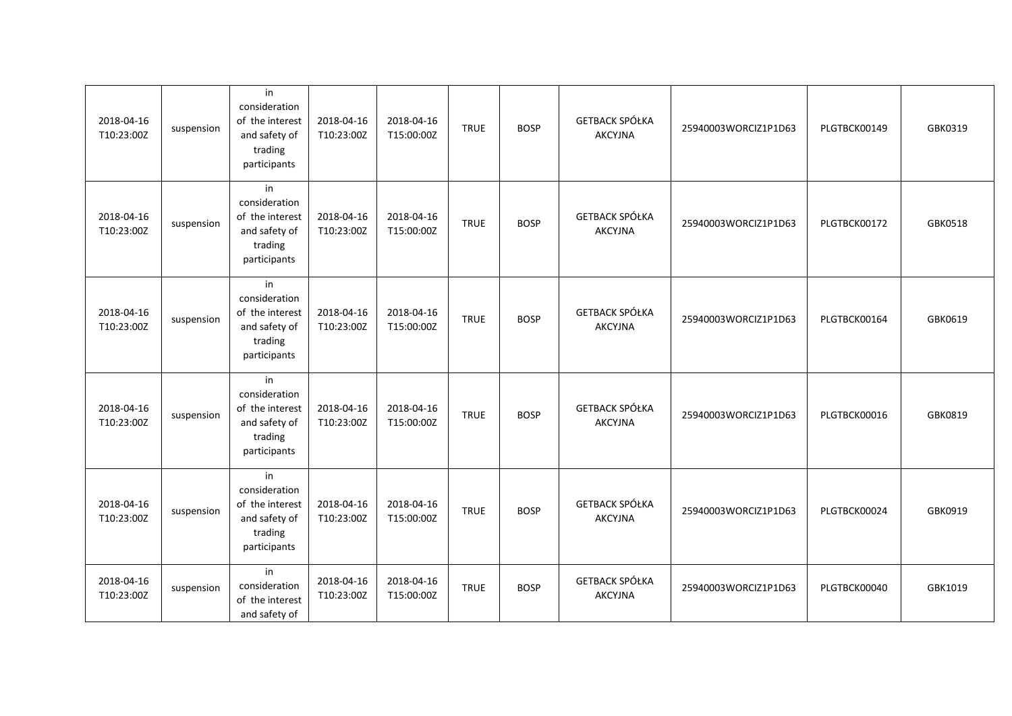| 2018-04-16<br>T10:23:00Z | suspension | in<br>consideration<br>of the interest<br>and safety of<br>trading<br>participants | 2018-04-16<br>T10:23:00Z | 2018-04-16<br>T15:00:00Z | <b>TRUE</b> | <b>BOSP</b> | <b>GETBACK SPÓŁKA</b><br><b>AKCYJNA</b> | 25940003WORCIZ1P1D63 | PLGTBCK00149 | GBK0319 |
|--------------------------|------------|------------------------------------------------------------------------------------|--------------------------|--------------------------|-------------|-------------|-----------------------------------------|----------------------|--------------|---------|
| 2018-04-16<br>T10:23:00Z | suspension | in<br>consideration<br>of the interest<br>and safety of<br>trading<br>participants | 2018-04-16<br>T10:23:00Z | 2018-04-16<br>T15:00:00Z | <b>TRUE</b> | <b>BOSP</b> | <b>GETBACK SPÓŁKA</b><br><b>AKCYJNA</b> | 25940003WORCIZ1P1D63 | PLGTBCK00172 | GBK0518 |
| 2018-04-16<br>T10:23:00Z | suspension | in<br>consideration<br>of the interest<br>and safety of<br>trading<br>participants | 2018-04-16<br>T10:23:00Z | 2018-04-16<br>T15:00:00Z | <b>TRUE</b> | <b>BOSP</b> | GETBACK SPÓŁKA<br><b>AKCYJNA</b>        | 25940003WORCIZ1P1D63 | PLGTBCK00164 | GBK0619 |
| 2018-04-16<br>T10:23:00Z | suspension | in<br>consideration<br>of the interest<br>and safety of<br>trading<br>participants | 2018-04-16<br>T10:23:00Z | 2018-04-16<br>T15:00:00Z | <b>TRUE</b> | <b>BOSP</b> | <b>GETBACK SPÓŁKA</b><br><b>AKCYJNA</b> | 25940003WORCIZ1P1D63 | PLGTBCK00016 | GBK0819 |
| 2018-04-16<br>T10:23:00Z | suspension | in<br>consideration<br>of the interest<br>and safety of<br>trading<br>participants | 2018-04-16<br>T10:23:00Z | 2018-04-16<br>T15:00:00Z | <b>TRUE</b> | <b>BOSP</b> | <b>GETBACK SPÓŁKA</b><br><b>AKCYJNA</b> | 25940003WORCIZ1P1D63 | PLGTBCK00024 | GBK0919 |
| 2018-04-16<br>T10:23:00Z | suspension | in<br>consideration<br>of the interest<br>and safety of                            | 2018-04-16<br>T10:23:00Z | 2018-04-16<br>T15:00:00Z | <b>TRUE</b> | <b>BOSP</b> | <b>GETBACK SPÓŁKA</b><br><b>AKCYJNA</b> | 25940003WORCIZ1P1D63 | PLGTBCK00040 | GBK1019 |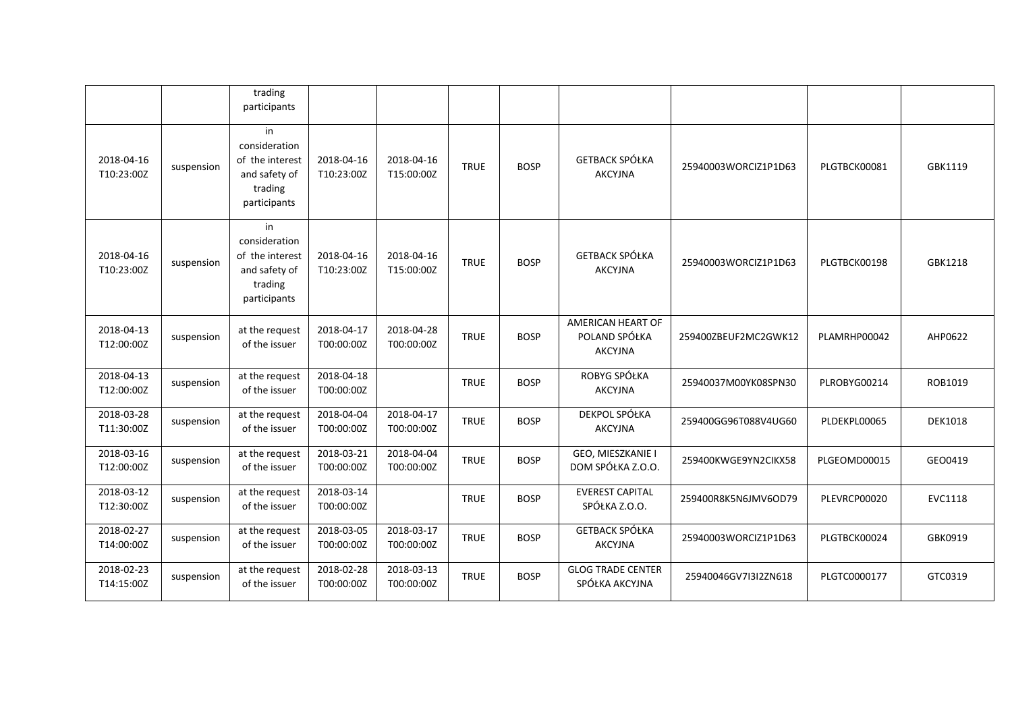|                          |            | trading<br>participants                                                            |                          |                          |             |             |                                                      |                      |              |                |
|--------------------------|------------|------------------------------------------------------------------------------------|--------------------------|--------------------------|-------------|-------------|------------------------------------------------------|----------------------|--------------|----------------|
| 2018-04-16<br>T10:23:00Z | suspension | in<br>consideration<br>of the interest<br>and safety of<br>trading<br>participants | 2018-04-16<br>T10:23:00Z | 2018-04-16<br>T15:00:00Z | <b>TRUE</b> | <b>BOSP</b> | <b>GETBACK SPÓŁKA</b><br><b>AKCYJNA</b>              | 25940003WORCIZ1P1D63 | PLGTBCK00081 | GBK1119        |
| 2018-04-16<br>T10:23:00Z | suspension | in<br>consideration<br>of the interest<br>and safety of<br>trading<br>participants | 2018-04-16<br>T10:23:00Z | 2018-04-16<br>T15:00:00Z | <b>TRUE</b> | <b>BOSP</b> | <b>GETBACK SPÓŁKA</b><br><b>AKCYJNA</b>              | 25940003WORCIZ1P1D63 | PLGTBCK00198 | GBK1218        |
| 2018-04-13<br>T12:00:00Z | suspension | at the request<br>of the issuer                                                    | 2018-04-17<br>T00:00:00Z | 2018-04-28<br>T00:00:00Z | <b>TRUE</b> | <b>BOSP</b> | AMERICAN HEART OF<br>POLAND SPÓŁKA<br><b>AKCYJNA</b> | 259400ZBEUF2MC2GWK12 | PLAMRHP00042 | AHP0622        |
| 2018-04-13<br>T12:00:00Z | suspension | at the request<br>of the issuer                                                    | 2018-04-18<br>T00:00:00Z |                          | <b>TRUE</b> | <b>BOSP</b> | ROBYG SPÓŁKA<br><b>AKCYJNA</b>                       | 25940037M00YK08SPN30 | PLROBYG00214 | ROB1019        |
| 2018-03-28<br>T11:30:00Z | suspension | at the request<br>of the issuer                                                    | 2018-04-04<br>T00:00:00Z | 2018-04-17<br>T00:00:00Z | <b>TRUE</b> | <b>BOSP</b> | DEKPOL SPÓŁKA<br><b>AKCYJNA</b>                      | 259400GG96T088V4UG60 | PLDEKPL00065 | <b>DEK1018</b> |
| 2018-03-16<br>T12:00:00Z | suspension | at the request<br>of the issuer                                                    | 2018-03-21<br>T00:00:00Z | 2018-04-04<br>T00:00:00Z | <b>TRUE</b> | <b>BOSP</b> | GEO, MIESZKANIE I<br>DOM SPÓŁKA Z.O.O.               | 259400KWGE9YN2CIKX58 | PLGEOMD00015 | GEO0419        |
| 2018-03-12<br>T12:30:00Z | suspension | at the request<br>of the issuer                                                    | 2018-03-14<br>T00:00:00Z |                          | <b>TRUE</b> | <b>BOSP</b> | <b>EVEREST CAPITAL</b><br>SPÓŁKA Z.O.O.              | 259400R8K5N6JMV6OD79 | PLEVRCP00020 | <b>EVC1118</b> |
| 2018-02-27<br>T14:00:00Z | suspension | at the request<br>of the issuer                                                    | 2018-03-05<br>T00:00:00Z | 2018-03-17<br>T00:00:00Z | <b>TRUE</b> | <b>BOSP</b> | <b>GETBACK SPÓŁKA</b><br><b>AKCYJNA</b>              | 25940003WORCIZ1P1D63 | PLGTBCK00024 | GBK0919        |
| 2018-02-23<br>T14:15:00Z | suspension | at the request<br>of the issuer                                                    | 2018-02-28<br>T00:00:00Z | 2018-03-13<br>T00:00:00Z | <b>TRUE</b> | <b>BOSP</b> | <b>GLOG TRADE CENTER</b><br>SPÓŁKA AKCYJNA           | 25940046GV7I3I2ZN618 | PLGTC0000177 | GTC0319        |